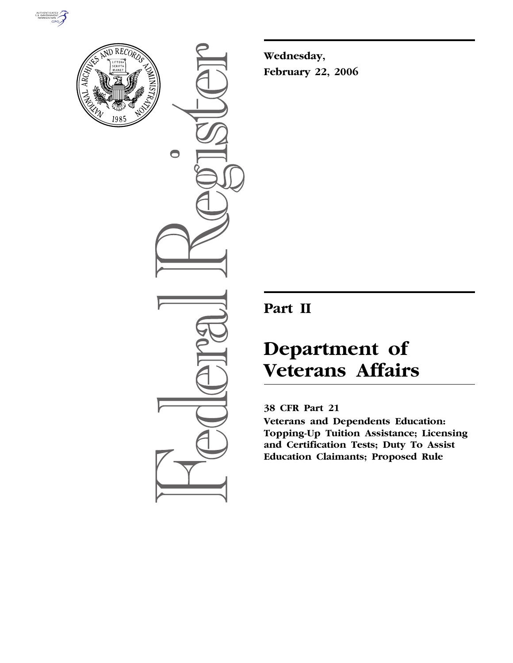



 $\bigcirc$ 

**Wednesday, February 22, 2006** 

# **Part II**

# **Department of Veterans Affairs**

# **38 CFR Part 21**

**Veterans and Dependents Education: Topping-Up Tuition Assistance; Licensing and Certification Tests; Duty To Assist Education Claimants; Proposed Rule**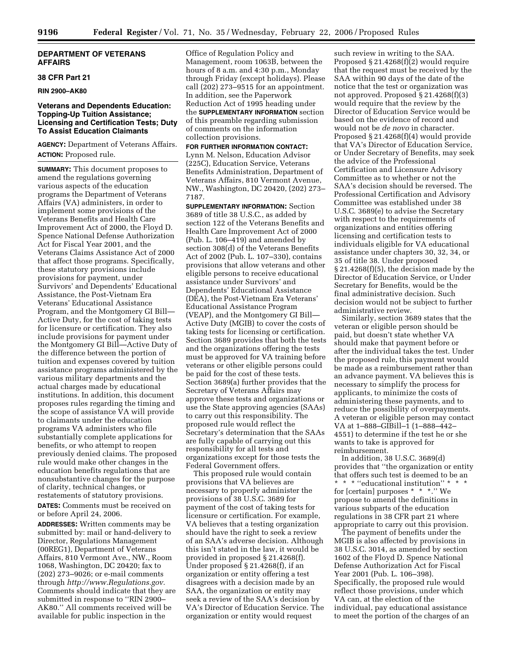#### **DEPARTMENT OF VETERANS AFFAIRS**

#### **38 CFR Part 21**

#### **RIN 2900–AK80**

# **Veterans and Dependents Education: Topping-Up Tuition Assistance; Licensing and Certification Tests; Duty To Assist Education Claimants**

**AGENCY:** Department of Veterans Affairs. **ACTION:** Proposed rule.

**SUMMARY:** This document proposes to amend the regulations governing various aspects of the education programs the Department of Veterans Affairs (VA) administers, in order to implement some provisions of the Veterans Benefits and Health Care Improvement Act of 2000, the Floyd D. Spence National Defense Authorization Act for Fiscal Year 2001, and the Veterans Claims Assistance Act of 2000 that affect those programs. Specifically, these statutory provisions include provisions for payment, under Survivors' and Dependents' Educational Assistance, the Post-Vietnam Era Veterans' Educational Assistance Program, and the Montgomery GI Bill— Active Duty, for the cost of taking tests for licensure or certification. They also include provisions for payment under the Montgomery GI Bill—Active Duty of the difference between the portion of tuition and expenses covered by tuition assistance programs administered by the various military departments and the actual charges made by educational institutions. In addition, this document proposes rules regarding the timing and the scope of assistance VA will provide to claimants under the education programs VA administers who file substantially complete applications for benefits, or who attempt to reopen previously denied claims. The proposed rule would make other changes in the education benefits regulations that are nonsubstantive changes for the purpose of clarity, technical changes, or restatements of statutory provisions.

**DATES:** Comments must be received on or before April 24, 2006.

**ADDRESSES:** Written comments may be submitted by: mail or hand-delivery to Director, Regulations Management (00REG1), Department of Veterans Affairs, 810 Vermont Ave., NW., Room 1068, Washington, DC 20420; fax to (202) 273–9026; or e-mail comments through *http://www.Regulations.gov.*  Comments should indicate that they are submitted in response to "RIN 2900-AK80.'' All comments received will be available for public inspection in the

Office of Regulation Policy and Management, room 1063B, between the hours of 8 a.m. and 4:30 p.m., Monday through Friday (except holidays). Please call (202) 273–9515 for an appointment. In addition, see the Paperwork Reduction Act of 1995 heading under the **SUPPLEMENTARY INFORMATION** section of this preamble regarding submission of comments on the information collection provisions.

**FOR FURTHER INFORMATION CONTACT:**  Lynn M. Nelson, Education Advisor (225C), Education Service, Veterans Benefits Administration, Department of Veterans Affairs, 810 Vermont Avenue, NW., Washington, DC 20420, (202) 273– 7187.

**SUPPLEMENTARY INFORMATION:** Section 3689 of title 38 U.S.C., as added by section 122 of the Veterans Benefits and Health Care Improvement Act of 2000 (Pub. L. 106–419) and amended by section 308(d) of the Veterans Benefits Act of 2002 (Pub. L. 107–330), contains provisions that allow veterans and other eligible persons to receive educational assistance under Survivors' and Dependents' Educational Assistance (DEA), the Post-Vietnam Era Veterans' Educational Assistance Program (VEAP), and the Montgomery GI Bill— Active Duty (MGIB) to cover the costs of taking tests for licensing or certification. Section 3689 provides that both the tests and the organizations offering the tests must be approved for VA training before veterans or other eligible persons could be paid for the cost of these tests. Section 3689(a) further provides that the Secretary of Veterans Affairs may approve these tests and organizations or use the State approving agencies (SAAs) to carry out this responsibility. The proposed rule would reflect the Secretary's determination that the SAAs are fully capable of carrying out this responsibility for all tests and organizations except for those tests the Federal Government offers.

This proposed rule would contain provisions that VA believes are necessary to properly administer the provisions of 38 U.S.C. 3689 for payment of the cost of taking tests for licensure or certification. For example, VA believes that a testing organization should have the right to seek a review of an SAA's adverse decision. Although this isn't stated in the law, it would be provided in proposed § 21.4268(f). Under proposed § 21.4268(f), if an organization or entity offering a test disagrees with a decision made by an SAA, the organization or entity may seek a review of the SAA's decision by VA's Director of Education Service. The organization or entity would request

such review in writing to the SAA. Proposed § 21.4268(f)(2) would require that the request must be received by the SAA within 90 days of the date of the notice that the test or organization was not approved. Proposed § 21.4268(f)(3) would require that the review by the Director of Education Service would be based on the evidence of record and would not be *de novo* in character. Proposed § 21.4268(f)(4) would provide that VA's Director of Education Service, or Under Secretary of Benefits, may seek the advice of the Professional Certification and Licensure Advisory Committee as to whether or not the SAA's decision should be reversed. The Professional Certification and Advisory Committee was established under 38 U.S.C. 3689(e) to advise the Secretary with respect to the requirements of organizations and entities offering licensing and certification tests to individuals eligible for VA educational assistance under chapters 30, 32, 34, or 35 of title 38. Under proposed § 21.4268(f)(5), the decision made by the Director of Education Service, or Under Secretary for Benefits, would be the final administrative decision. Such decision would not be subject to further administrative review.

Similarly, section 3689 states that the veteran or eligible person should be paid, but doesn't state whether VA should make that payment before or after the individual takes the test. Under the proposed rule, this payment would be made as a reimbursement rather than an advance payment. VA believes this is necessary to simplify the process for applicants, to minimize the costs of administering these payments, and to reduce the possibility of overpayments. A veteran or eligible person may contact VA at 1–888–GIBill–1 (1–888–442– 4551) to determine if the test he or she wants to take is approved for reimbursement.

In addition, 38 U.S.C. 3689(d) provides that ''the organization or entity that offers such test is deemed to be an \* \* \* ''educational institution'' \* \* \* for [certain] purposes \* \* \*.'' We propose to amend the definitions in various subparts of the education regulations in 38 CFR part 21 where appropriate to carry out this provision.

The payment of benefits under the MGIB is also affected by provisions in 38 U.S.C. 3014, as amended by section 1602 of the Floyd D. Spence National Defense Authorization Act for Fiscal Year 2001 (Pub. L. 106–398). Specifically, the proposed rule would reflect those provisions, under which VA can, at the election of the individual, pay educational assistance to meet the portion of the charges of an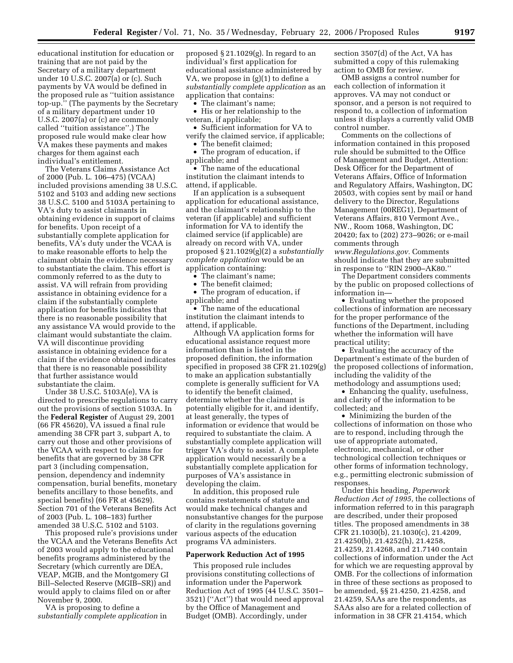educational institution for education or training that are not paid by the Secretary of a military department under 10 U.S.C. 2007(a) or (c). Such payments by VA would be defined in the proposed rule as ''tuition assistance top-up.'' (The payments by the Secretary of a military department under 10 U.S.C. 2007(a) or (c) are commonly called ''tuition assistance''.) The proposed rule would make clear how VA makes these payments and makes charges for them against each individual's entitlement.

The Veterans Claims Assistance Act of 2000 (Pub. L. 106–475) (VCAA) included provisions amending 38 U.S.C. 5102 and 5103 and adding new sections 38 U.S.C. 5100 and 5103A pertaining to VA's duty to assist claimants in obtaining evidence in support of claims for benefits. Upon receipt of a substantially complete application for benefits, VA's duty under the VCAA is to make reasonable efforts to help the claimant obtain the evidence necessary to substantiate the claim. This effort is commonly referred to as the duty to assist. VA will refrain from providing assistance in obtaining evidence for a claim if the substantially complete application for benefits indicates that there is no reasonable possibility that any assistance VA would provide to the claimant would substantiate the claim. VA will discontinue providing assistance in obtaining evidence for a claim if the evidence obtained indicates that there is no reasonable possibility that further assistance would substantiate the claim.

Under 38 U.S.C. 5103A(e), VA is directed to prescribe regulations to carry out the provisions of section 5103A. In the **Federal Register** of August 29, 2001 (66 FR 45620), VA issued a final rule amending 38 CFR part 3, subpart A, to carry out those and other provisions of the VCAA with respect to claims for benefits that are governed by 38 CFR part 3 (including compensation, pension, dependency and indemnity compensation, burial benefits, monetary benefits ancillary to those benefits, and special benefits) (66 FR at 45629). Section 701 of the Veterans Benefits Act of 2003 (Pub. L. 108–183) further amended 38 U.S.C. 5102 and 5103.

This proposed rule's provisions under the VCAA and the Veterans Benefits Act of 2003 would apply to the educational benefits programs administered by the Secretary (which currently are DEA, VEAP, MGIB, and the Montgomery GI Bill–Selected Reserve (MGIB–SR)) and would apply to claims filed on or after November 9, 2000.

VA is proposing to define a *substantially complete application* in

proposed § 21.1029(g). In regard to an individual's first application for educational assistance administered by VA, we propose in (g)(1) to define a *substantially complete application* as an application that contains:

• The claimant's name;

• His or her relationship to the veteran, if applicable;

- Sufficient information for VA to verify the claimed service, if applicable;
- The benefit claimed; • The program of education, if

applicable; and

• The name of the educational institution the claimant intends to attend, if applicable.

If an application is a subsequent application for educational assistance, and the claimant's relationship to the veteran (if applicable) and sufficient information for VA to identify the claimed service (if applicable) are already on record with VA, under proposed § 21.1029(g)(2) a *substantially complete application* would be an application containing:

- The claimant's name;
- The benefit claimed;
- The program of education, if applicable; and

• The name of the educational institution the claimant intends to attend, if applicable.

Although VA application forms for educational assistance request more information than is listed in the proposed definition, the information specified in proposed 38 CFR 21.1029(g) to make an application substantially complete is generally sufficient for VA to identify the benefit claimed, determine whether the claimant is potentially eligible for it, and identify, at least generally, the types of information or evidence that would be required to substantiate the claim. A substantially complete application will trigger VA's duty to assist. A complete application would necessarily be a substantially complete application for purposes of VA's assistance in developing the claim.

In addition, this proposed rule contains restatements of statute and would make technical changes and nonsubstantive changes for the purpose of clarity in the regulations governing various aspects of the education programs VA administers.

#### **Paperwork Reduction Act of 1995**

This proposed rule includes provisions constituting collections of information under the Paperwork Reduction Act of 1995 (44 U.S.C. 3501– 3521) (''Act'') that would need approval by the Office of Management and Budget (OMB). Accordingly, under

section 3507(d) of the Act, VA has submitted a copy of this rulemaking action to OMB for review.

OMB assigns a control number for each collection of information it approves. VA may not conduct or sponsor, and a person is not required to respond to, a collection of information unless it displays a currently valid OMB control number.

Comments on the collections of information contained in this proposed rule should be submitted to the Office of Management and Budget, Attention: Desk Officer for the Department of Veterans Affairs, Office of Information and Regulatory Affairs, Washington, DC 20503, with copies sent by mail or hand delivery to the Director, Regulations Management (00REG1), Department of Veterans Affairs, 810 Vermont Ave., NW., Room 1068, Washington, DC 20420; fax to (202) 273–9026; or e-mail comments through *www.Regulations.gov.* Comments

should indicate that they are submitted in response to ''RIN 2900–AK80.''

The Department considers comments by the public on proposed collections of information in—

• Evaluating whether the proposed collections of information are necessary for the proper performance of the functions of the Department, including whether the information will have practical utility;

• Evaluating the accuracy of the Department's estimate of the burden of the proposed collections of information, including the validity of the methodology and assumptions used;

• Enhancing the quality, usefulness, and clarity of the information to be collected; and

• Minimizing the burden of the collections of information on those who are to respond, including through the use of appropriate automated, electronic, mechanical, or other technological collection techniques or other forms of information technology, e.g., permitting electronic submission of responses.

Under this heading, *Paperwork Reduction Act of 1995,* the collections of information referred to in this paragraph are described, under their proposed titles. The proposed amendments in 38 CFR 21.1030(b), 21.1030(c), 21.4209, 21.4250(b), 21.4252(h), 21.4258, 21.4259, 21.4268, and 21.7140 contain collections of information under the Act for which we are requesting approval by OMB. For the collections of information in three of these sections as proposed to be amended, §§ 21.4250, 21.4258, and 21.4259, SAAs are the respondents, as SAAs also are for a related collection of information in 38 CFR 21.4154, which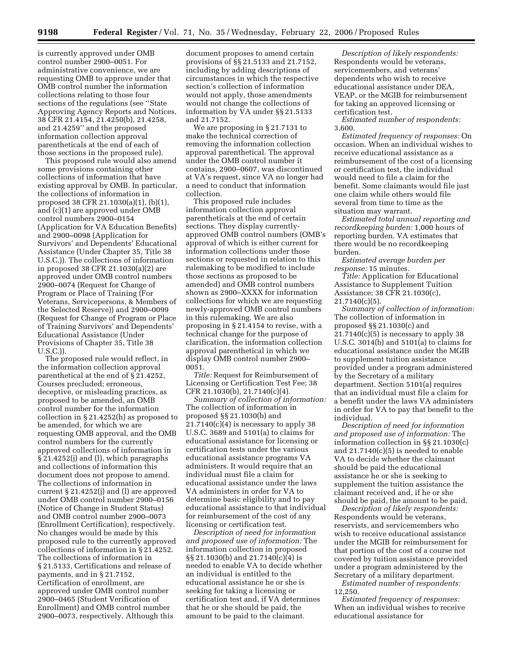is currently approved under OMB control number 2900–0051. For administrative convenience, we are requesting OMB to approve under that OMB control number the information collections relating to those four sections of the regulations (see ''State Approving Agency Reports and Notices, 38 CFR 21.4154, 21.4250(b), 21.4258, and 21.4259'' and the proposed information collection approval parentheticals at the end of each of those sections in the proposed rule).

This proposed rule would also amend some provisions containing other collections of information that have existing approval by OMB. In particular, the collections of information in proposed 38 CFR 21.1030(a)(1), (b)(1), and (c)(1) are approved under OMB control numbers 2900–0154 (Application for VA Education Benefits) and 2900–0098 (Application for Survivors' and Dependents' Educational Assistance (Under Chapter 35, Title 38 U.S.C.)). The collections of information in proposed 38 CFR 21.1030(a)(2) are approved under OMB control numbers 2900–0074 (Request for Change of Program or Place of Training (For Veterans, Servicepersons, & Members of the Selected Reserve)) and 2900–0099 (Request for Change of Program or Place of Training Survivors' and Dependents' Educational Assistance (Under Provisions of Chapter 35, Title 38 U.S.C.)).

The proposed rule would reflect, in the information collection approval parenthetical at the end of § 21.4252, Courses precluded; erroneous, deceptive, or misleading practices, as proposed to be amended, an OMB control number for the information collection in § 21.4252(h) as proposed to be amended, for which we are requesting OMB approval, and the OMB control numbers for the currently approved collections of information in § 21.4252(j) and (l), which paragraphs and collections of information this document does not propose to amend. The collections of information in current § 21.4252(j) and (l) are approved under OMB control number 2900–0156 (Notice of Change in Student Status) and OMB control number 2900–0073 (Enrollment Certification), respectively. No changes would be made by this proposed rule to the currently approved collections of information in § 21.4252. The collections of information in § 21.5133, Certifications and release of payments, and in § 21.7152, Certification of enrollment, are approved under OMB control number 2900–0465 (Student Verification of Enrollment) and OMB control number 2900–0073, respectively. Although this

document proposes to amend certain provisions of §§ 21.5133 and 21.7152, including by adding descriptions of circumstances in which the respective section's collection of information would not apply, those amendments would not change the collections of information by VA under §§ 21.5133 and 21.7152.

We are proposing in § 21.7131 to make the technical correction of removing the information collection approval parenthetical. The approval under the OMB control number it contains, 2900–0607, was discontinued at VA's request, since VA no longer had a need to conduct that information collection.

This proposed rule includes information collection approval parentheticals at the end of certain sections. They display currentlyapproved OMB control numbers (OMB's approval of which is either current for information collections under those sections or requested in relation to this rulemaking to be modified to include those sections as proposed to be amended) and OMB control numbers shown as 2900–XXXX for information collections for which we are requesting newly-approved OMB control numbers in this rulemaking. We are also proposing in § 21.4154 to revise, with a technical change for the purpose of clarification, the information collection approval parenthetical in which we display OMB control number 2900– 0051.

*Title:* Request for Reimbursement of Licensing or Certification Test Fee; 38 CFR 21.1030(b), 21.7140(c)(4).

*Summary of collection of information:*  The collection of information in proposed §§ 21.1030(b) and  $21.7140(c)(4)$  is necessary to apply 38 U.S.C. 3689 and 5101(a) to claims for educational assistance for licensing or certification tests under the various educational assistance programs VA administers. It would require that an individual must file a claim for educational assistance under the laws VA administers in order for VA to determine basic eligibility and to pay educational assistance to that individual for reimbursement of the cost of any licensing or certification test.

*Description of need for information and proposed use of information:* The information collection in proposed §§ 21.1030(b) and 21.7140(c)(4) is needed to enable VA to decide whether an individual is entitled to the educational assistance he or she is seeking for taking a licensing or certification test and, if VA determines that he or she should be paid, the amount to be paid to the claimant.

*Description of likely respondents:*  Respondents would be veterans, servicemembers, and veterans' dependents who wish to receive educational assistance under DEA, VEAP, or the MGIB for reimbursement for taking an approved licensing or certification test.

*Estimated number of respondents:*  3,600.

*Estimated frequency of responses:* On occasion. When an individual wishes to receive educational assistance as a reimbursement of the cost of a licensing or certification test, the individual would need to file a claim for the benefit. Some claimants would file just one claim while others would file several from time to time as the situation may warrant.

*Estimated total annual reporting and recordkeeping burden:* 1,000 hours of reporting burden. VA estimates that there would be no recordkeeping burden.

*Estimated average burden per response:* 15 minutes.

*Title:* Application for Educational Assistance to Supplement Tuition Assistance; 38 CFR 21.1030(c),  $21.7140(c)(5)$ .

*Summary of collection of information:*  The collection of information in proposed §§ 21.1030(c) and  $21.7140(c)(5)$  is necessary to apply 38 U.S.C. 3014(b) and 5101(a) to claims for educational assistance under the MGIB to supplement tuition assistance provided under a program administered by the Secretary of a military department. Section 5101(a) requires that an individual must file a claim for a benefit under the laws VA administers in order for VA to pay that benefit to the individual.

*Description of need for information and proposed use of information:* The information collection in §§ 21.1030(c) and  $21.7140(c)(5)$  is needed to enable VA to decide whether the claimant should be paid the educational assistance he or she is seeking to supplement the tuition assistance the claimant received and, if he or she should be paid, the amount to be paid.

*Description of likely respondents:*  Respondents would be veterans, reservists, and servicemembers who wish to receive educational assistance under the MGIB for reimbursement for that portion of the cost of a course not covered by tuition assistance provided under a program administered by the Secretary of a military department.

*Estimated number of respondents:*  12,250.

*Estimated frequency of responses:*  When an individual wishes to receive educational assistance for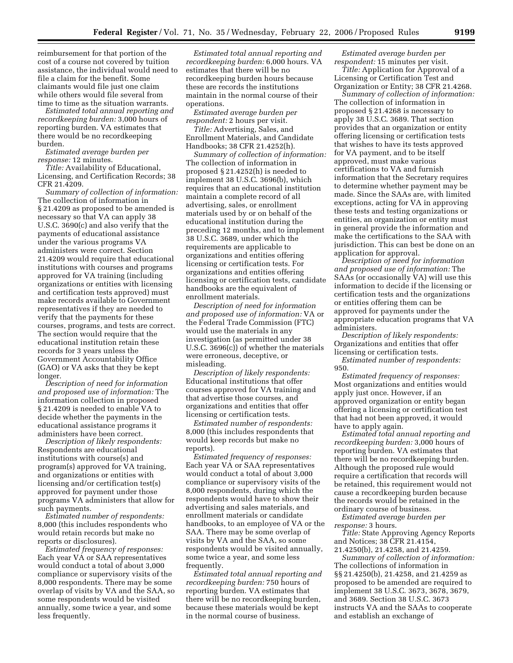reimbursement for that portion of the cost of a course not covered by tuition assistance, the individual would need to file a claim for the benefit. Some claimants would file just one claim while others would file several from time to time as the situation warrants.

*Estimated total annual reporting and recordkeeping burden:* 3,000 hours of reporting burden. VA estimates that there would be no recordkeeping burden.

*Estimated average burden per response:* 12 minutes.

*Title:* Availability of Educational, Licensing, and Certification Records; 38 CFR 21.4209.

*Summary of collection of information:*  The collection of information in § 21.4209 as proposed to be amended is necessary so that VA can apply 38 U.S.C. 3690(c) and also verify that the payments of educational assistance under the various programs VA administers were correct. Section 21.4209 would require that educational institutions with courses and programs approved for VA training (including organizations or entities with licensing and certification tests approved) must make records available to Government representatives if they are needed to verify that the payments for these courses, programs, and tests are correct. The section would require that the educational institution retain these records for 3 years unless the Government Accountability Office (GAO) or VA asks that they be kept longer.

*Description of need for information and proposed use of information:* The information collection in proposed § 21.4209 is needed to enable VA to decide whether the payments in the educational assistance programs it administers have been correct.

*Description of likely respondents:*  Respondents are educational institutions with course(s) and program(s) approved for VA training, and organizations or entities with licensing and/or certification test(s) approved for payment under those programs VA administers that allow for such payments.

*Estimated number of respondents:*  8,000 (this includes respondents who would retain records but make no reports or disclosures).

*Estimated frequency of responses:*  Each year VA or SAA representatives would conduct a total of about 3,000 compliance or supervisory visits of the 8,000 respondents. There may be some overlap of visits by VA and the SAA, so some respondents would be visited annually, some twice a year, and some less frequently.

*Estimated total annual reporting and recordkeeping burden:* 6,000 hours. VA estimates that there will be no recordkeeping burden hours because these are records the institutions maintain in the normal course of their operations.

*Estimated average burden per respondent:* 2 hours per visit.

*Title:* Advertising, Sales, and Enrollment Materials, and Candidate Handbooks; 38 CFR 21.4252(h).

*Summary of collection of information:*  The collection of information in proposed § 21.4252(h) is needed to implement 38 U.S.C. 3696(b), which requires that an educational institution maintain a complete record of all advertising, sales, or enrollment materials used by or on behalf of the educational institution during the preceding 12 months, and to implement 38 U.S.C. 3689, under which the requirements are applicable to organizations and entities offering licensing or certification tests. For organizations and entities offering licensing or certification tests, candidate handbooks are the equivalent of enrollment materials.

*Description of need for information and proposed use of information:* VA or the Federal Trade Commission (FTC) would use the materials in any investigation (as permitted under 38 U.S.C. 3696(c)) of whether the materials were erroneous, deceptive, or misleading.

*Description of likely respondents:*  Educational institutions that offer courses approved for VA training and that advertise those courses, and organizations and entities that offer licensing or certification tests.

*Estimated number of respondents:*  8,000 (this includes respondents that would keep records but make no reports).

*Estimated frequency of responses:*  Each year VA or SAA representatives would conduct a total of about 3,000 compliance or supervisory visits of the 8,000 respondents, during which the respondents would have to show their advertising and sales materials, and enrollment materials or candidate handbooks, to an employee of VA or the SAA. There may be some overlap of visits by VA and the SAA, so some respondents would be visited annually, some twice a year, and some less frequently.

*Estimated total annual reporting and recordkeeping burden:* 750 hours of reporting burden. VA estimates that there will be no recordkeeping burden, because these materials would be kept in the normal course of business.

*Estimated average burden per respondent:* 15 minutes per visit.

*Title:* Application for Approval of a Licensing or Certification Test and Organization or Entity; 38 CFR 21.4268.

*Summary of collection of information:*  The collection of information in proposed § 21.4268 is necessary to apply 38 U.S.C. 3689. That section provides that an organization or entity offering licensing or certification tests that wishes to have its tests approved for VA payment, and to be itself approved, must make various certifications to VA and furnish information that the Secretary requires to determine whether payment may be made. Since the SAAs are, with limited exceptions, acting for VA in approving these tests and testing organizations or entities, an organization or entity must in general provide the information and make the certifications to the SAA with jurisdiction. This can best be done on an application for approval.

*Description of need for information and proposed use of information:* The SAAs (or occasionally VA) will use this information to decide if the licensing or certification tests and the organizations or entities offering them can be approved for payments under the appropriate education programs that VA administers.

*Description of likely respondents:*  Organizations and entities that offer licensing or certification tests.

*Estimated number of respondents:*  950.

*Estimated frequency of responses:*  Most organizations and entities would apply just once. However, if an approved organization or entity began offering a licensing or certification test that had not been approved, it would have to apply again.

*Estimated total annual reporting and recordkeeping burden:* 3,000 hours of reporting burden. VA estimates that there will be no recordkeeping burden. Although the proposed rule would require a certification that records will be retained, this requirement would not cause a recordkeeping burden because the records would be retained in the ordinary course of business.

*Estimated average burden per response:* 3 hours.

*Title:* State Approving Agency Reports and Notices; 38 CFR 21.4154, 21.4250(b), 21.4258, and 21.4259.

*Summary of collection of information:*  The collections of information in §§ 21.4250(b), 21.4258, and 21.4259 as proposed to be amended are required to implement 38 U.S.C. 3673, 3678, 3679, and 3689. Section 38 U.S.C. 3673 instructs VA and the SAAs to cooperate and establish an exchange of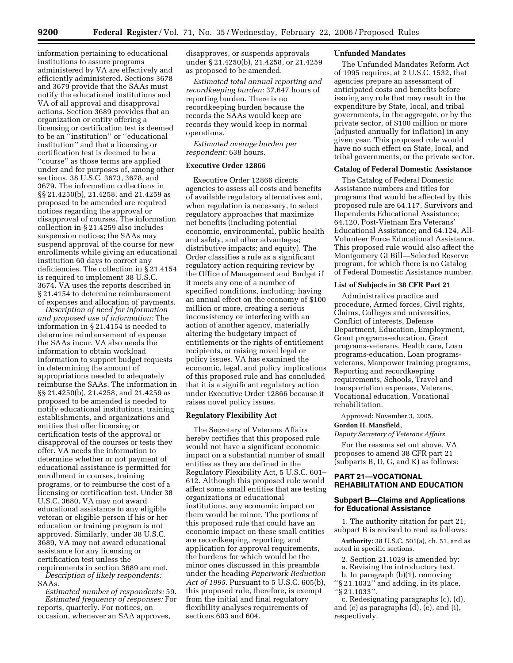information pertaining to educational institutions to assure programs administered by VA are effectively and efficiently administered. Sections 3678 and 3679 provide that the SAAs must notify the educational institutions and VA of all approval and disapproval actions. Section 3689 provides that an organization or entity offering a licensing or certification test is deemed to be an ''institution'' or ''educational institution'' and that a licensing or certification test is deemed to be a ''course'' as those terms are applied under and for purposes of, among other sections, 38 U.S.C. 3673, 3678, and 3679. The information collections in §§ 21.4250(b), 21.4258, and 21.4259 as proposed to be amended are required notices regarding the approval or disapproval of courses. The information collection in § 21.4259 also includes suspension notices; the SAAs may suspend approval of the course for new enrollments while giving an educational institution 60 days to correct any deficiencies. The collection in § 21.4154 is required to implement 38 U.S.C. 3674. VA uses the reports described in § 21.4154 to determine reimbursement of expenses and allocation of payments.

*Description of need for information and proposed use of information:* The information in § 21.4154 is needed to determine reimbursement of expense the SAAs incur. VA also needs the information to obtain workload information to support budget requests in determining the amount of appropriations needed to adequately reimburse the SAAs. The information in §§ 21.4250(b), 21.4258, and 21.4259 as proposed to be amended is needed to notify educational institutions, training establishments, and organizations and entities that offer licensing or certification tests of the approval or disapproval of the courses or tests they offer. VA needs the information to determine whether or not payment of educational assistance is permitted for enrollment in courses, training programs, or to reimburse the cost of a licensing or certification test. Under 38 U.S.C. 3680, VA may not award educational assistance to any eligible veteran or eligible person if his or her education or training program is not approved. Similarly, under 38 U.S.C. 3689, VA may not award educational assistance for any licensing or certification test unless the

requirements in section 3689 are met. *Description of likely respondents:*  SAAs.

*Estimated number of respondents:* 59. *Estimated frequency of responses:* For reports, quarterly. For notices, on occasion, whenever an SAA approves,

disapproves, or suspends approvals under § 21.4250(b), 21.4258, or 21.4259 as proposed to be amended.

*Estimated total annual reporting and recordkeeping burden:* 37,647 hours of reporting burden. There is no recordkeeping burden because the records the SAAs would keep are records they would keep in normal operations.

*Estimated average burden per respondent:* 638 hours.

# **Executive Order 12866**

Executive Order 12866 directs agencies to assess all costs and benefits of available regulatory alternatives and, when regulation is necessary, to select regulatory approaches that maximize net benefits (including potential economic, environmental, public health and safety, and other advantages; distributive impacts; and equity). The Order classifies a rule as a significant regulatory action requiring review by the Office of Management and Budget if it meets any one of a number of specified conditions, including: having an annual effect on the economy of \$100 million or more, creating a serious inconsistency or interfering with an action of another agency, materially altering the budgetary impact of entitlements or the rights of entitlement recipients, or raising novel legal or policy issues. VA has examined the economic, legal, and policy implications of this proposed rule and has concluded that it is a significant regulatory action under Executive Order 12866 because it raises novel policy issues.

#### **Regulatory Flexibility Act**

The Secretary of Veterans Affairs hereby certifies that this proposed rule would not have a significant economic impact on a substantial number of small entities as they are defined in the Regulatory Flexibility Act, 5 U.S.C. 601– 612. Although this proposed rule would affect some small entities that are testing organizations or educational institutions, any economic impact on them would be minor. The portions of this proposed rule that could have an economic impact on these small entities are recordkeeping, reporting, and application for approval requirements, the burdens for which would be the minor ones discussed in this preamble under the heading *Paperwork Reduction Act of 1995.* Pursuant to 5 U.S.C. 605(b), this proposed rule, therefore, is exempt from the initial and final regulatory flexibility analyses requirements of sections 603 and 604.

# **Unfunded Mandates**

The Unfunded Mandates Reform Act of 1995 requires, at 2 U.S.C. 1532, that agencies prepare an assessment of anticipated costs and benefits before issuing any rule that may result in the expenditure by State, local, and tribal governments, in the aggregate, or by the private sector, of \$100 million or more (adjusted annually for inflation) in any given year. This proposed rule would have no such effect on State, local, and tribal governments, or the private sector.

#### **Catalog of Federal Domestic Assistance**

The Catalog of Federal Domestic Assistance numbers and titles for programs that would be affected by this proposed rule are 64.117, Survivors and Dependents Educational Assistance; 64.120, Post-Vietnam Era Veterans' Educational Assistance; and 64.124, All-Volunteer Force Educational Assistance. This proposed rule would also affect the Montgomery GI Bill—Selected Reserve program, for which there is no Catalog of Federal Domestic Assistance number.

# **List of Subjects in 38 CFR Part 21**

Administrative practice and procedure, Armed forces, Civil rights, Claims, Colleges and universities, Conflict of interests, Defense Department, Education, Employment, Grant programs-education, Grant programs-veterans, Health care, Loan programs-education, Loan programsveterans, Manpower training programs, Reporting and recordkeeping requirements, Schools, Travel and transportation expenses, Veterans, Vocational education, Vocational rehabilitation.

Approved: November 3, 2005.

#### **Gordon H. Mansfield,**

*Deputy Secretary of Veterans Affairs.* 

For the reasons set out above, VA proposes to amend 38 CFR part 21 (subparts B, D, G, and K) as follows:

#### **PART 21—VOCATIONAL REHABILITATION AND EDUCATION**

#### **Subpart B—Claims and Applications for Educational Assistance**

1. The authority citation for part 21, subpart B is revised to read as follows:

**Authority:** 38 U.S.C. 501(a), ch. 51, and as noted in specific sections.

- 2. Section 21.1029 is amended by:
- a. Revising the introductory text.
- b. In paragraph (b)(1), removing
- ''§ 21.1032'' and adding, in its place, ''§ 21.1033''.

c. Redesignating paragraphs (c), (d), and (e) as paragraphs (d), (e), and (i), respectively.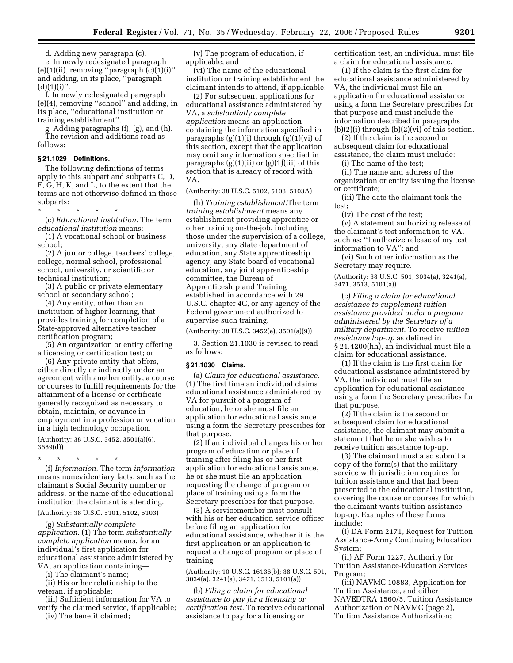d. Adding new paragraph (c).

e. In newly redesignated paragraph  $(e)(1)(ii)$ , removing "paragraph  $(c)(1)(i)$ " and adding, in its place, ''paragraph  $(d)(1)(i)$ ".

f. In newly redesignated paragraph (e)(4), removing ''school'' and adding, in its place, ''educational institution or training establishment''.

g. Adding paragraphs (f), (g), and (h). The revision and additions read as follows:

#### **§ 21.1029 Definitions.**

The following definitions of terms apply to this subpart and subparts C, D, F, G, H, K, and L, to the extent that the terms are not otherwise defined in those subparts:

\* \* \* \* \* (c) *Educational institution.* The term *educational institution* means:

(1) A vocational school or business school;

(2) A junior college, teachers' college, college, normal school, professional school, university, or scientific or technical institution;

(3) A public or private elementary school or secondary school;

(4) Any entity, other than an institution of higher learning, that provides training for completion of a State-approved alternative teacher certification program;

(5) An organization or entity offering a licensing or certification test; or

(6) Any private entity that offers, either directly or indirectly under an agreement with another entity, a course or courses to fulfill requirements for the attainment of a license or certificate generally recognized as necessary to obtain, maintain, or advance in employment in a profession or vocation in a high technology occupation.

(Authority: 38 U.S.C. 3452, 3501(a)(6), 3689(d))

\* \* \* \* \*

(f) *Information.* The term *information*  means nonevidentiary facts, such as the claimant's Social Security number or address, or the name of the educational institution the claimant is attending.

#### (Authority: 38 U.S.C. 5101, 5102, 5103)

(g) *Substantially complete application.* (1) The term *substantially complete application* means, for an individual's first application for educational assistance administered by VA, an application containing—

(i) The claimant's name;

(ii) His or her relationship to the veteran, if applicable;

(iii) Sufficient information for VA to verify the claimed service, if applicable;

(iv) The benefit claimed;

(v) The program of education, if applicable; and

(vi) The name of the educational institution or training establishment the claimant intends to attend, if applicable.

(2) For subsequent applications for educational assistance administered by VA, a *substantially complete application* means an application containing the information specified in paragraphs (g)(1)(i) through (g)(1)(vi) of this section, except that the application may omit any information specified in paragraphs (g)(1)(ii) or (g)(1)(iii) of this section that is already of record with VA.

#### (Authority: 38 U.S.C. 5102, 5103, 5103A)

(h) *Training establishment.*The term *training establishment* means any establishment providing apprentice or other training on-the-job, including those under the supervision of a college, university, any State department of education, any State apprenticeship agency, any State board of vocational education, any joint apprenticeship committee, the Bureau of Apprenticeship and Training established in accordance with 29 U.S.C. chapter 4C, or any agency of the Federal government authorized to supervise such training.

(Authority: 38 U.S.C. 3452(e), 3501(a)(9))

3. Section 21.1030 is revised to read as follows:

#### **§ 21.1030 Claims.**

(a) *Claim for educational assistance.*  (1) The first time an individual claims educational assistance administered by VA for pursuit of a program of education, he or she must file an application for educational assistance using a form the Secretary prescribes for that purpose.

(2) If an individual changes his or her program of education or place of training after filing his or her first application for educational assistance, he or she must file an application requesting the change of program or place of training using a form the Secretary prescribes for that purpose.

(3) A servicemember must consult with his or her education service officer before filing an application for educational assistance, whether it is the first application or an application to request a change of program or place of training.

(Authority: 10 U.S.C. 16136(b); 38 U.S.C. 501, 3034(a), 3241(a), 3471, 3513, 5101(a))

(b) *Filing a claim for educational assistance to pay for a licensing or certification test.* To receive educational assistance to pay for a licensing or

certification test, an individual must file a claim for educational assistance.

(1) If the claim is the first claim for educational assistance administered by VA, the individual must file an application for educational assistance using a form the Secretary prescribes for that purpose and must include the information described in paragraphs  $(b)(2)(i)$  through  $(b)(2)(vi)$  of this section.

(2) If the claim is the second or subsequent claim for educational assistance, the claim must include:

(i) The name of the test;

(ii) The name and address of the organization or entity issuing the license or certificate;

(iii) The date the claimant took the test;

(iv) The cost of the test;

(v) A statement authorizing release of the claimant's test information to VA, such as: ''I authorize release of my test information to VA''; and

(vi) Such other information as the Secretary may require.

(Authority: 38 U.S.C. 501, 3034(a), 3241(a), 3471, 3513, 5101(a))

(c) *Filing a claim for educational assistance to supplement tuition assistance provided under a program administered by the Secretary of a military department.* To receive *tuition assistance top-up* as defined in § 21.4200(hh), an individual must file a claim for educational assistance.

(1) If the claim is the first claim for educational assistance administered by VA, the individual must file an application for educational assistance using a form the Secretary prescribes for that purpose.

(2) If the claim is the second or subsequent claim for educational assistance, the claimant may submit a statement that he or she wishes to receive tuition assistance top-up.

(3) The claimant must also submit a copy of the form(s) that the military service with jurisdiction requires for tuition assistance and that had been presented to the educational institution, covering the course or courses for which the claimant wants tuition assistance top-up. Examples of these forms include:

(i) DA Form 2171, Request for Tuition Assistance-Army Continuing Education System;

(ii) AF Form 1227, Authority for Tuition Assistance-Education Services Program;

(iii) NAVMC 10883, Application for Tuition Assistance, and either NAVEDTRA 1560/5, Tuition Assistance Authorization or NAVMC (page 2), Tuition Assistance Authorization;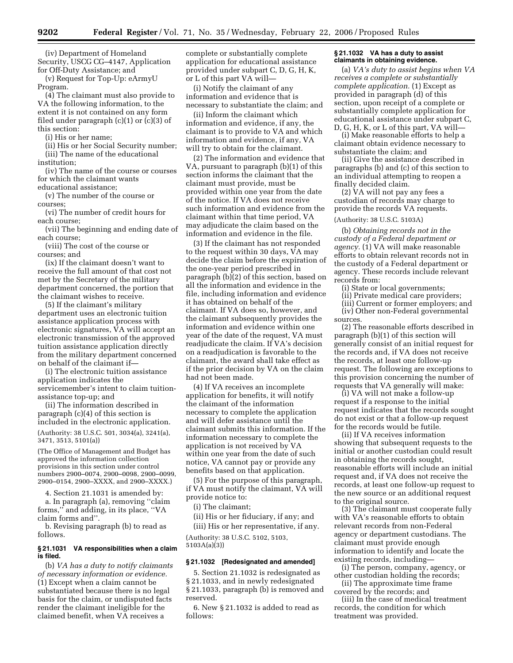(iv) Department of Homeland Security, USCG CG–4147, Application for Off-Duty Assistance; and

(v) Request for Top-Up: eArmyU Program.

(4) The claimant must also provide to VA the following information, to the extent it is not contained on any form filed under paragraph (c)(1) or (c)(3) of this section:

(i) His or her name;

(ii) His or her Social Security number; (iii) The name of the educational

institution;

(iv) The name of the course or courses for which the claimant wants

educational assistance;

(v) The number of the course or courses;

(vi) The number of credit hours for each course;

(vii) The beginning and ending date of each course;

(viii) The cost of the course or courses; and

(ix) If the claimant doesn't want to receive the full amount of that cost not met by the Secretary of the military department concerned, the portion that the claimant wishes to receive.

(5) If the claimant's military department uses an electronic tuition assistance application process with electronic signatures, VA will accept an electronic transmission of the approved tuition assistance application directly from the military department concerned on behalf of the claimant if—

(i) The electronic tuition assistance application indicates the servicemember's intent to claim tuition-

assistance top-up; and (ii) The information described in paragraph (c)(4) of this section is included in the electronic application.

(Authority: 38 U.S.C. 501, 3034(a), 3241(a), 3471, 3513, 5101(a))

(The Office of Management and Budget has approved the information collection provisions in this section under control numbers 2900–0074, 2900–0098, 2900–0099, 2900–0154, 2900–XXXX, and 2900–XXXX.)

4. Section 21.1031 is amended by:

a. In paragraph (a), removing ''claim forms,'' and adding, in its place, ''VA claim forms and''.

b. Revising paragraph (b) to read as follows.

#### **§ 21.1031 VA responsibilities when a claim is filed.**

(b) *VA has a duty to notify claimants of necessary information or evidence.*  (1) Except when a claim cannot be substantiated because there is no legal basis for the claim, or undisputed facts render the claimant ineligible for the claimed benefit, when VA receives a

complete or substantially complete application for educational assistance provided under subpart C, D, G, H, K, or L of this part VA will—

(i) Notify the claimant of any information and evidence that is necessary to substantiate the claim; and

(ii) Inform the claimant which information and evidence, if any, the claimant is to provide to VA and which information and evidence, if any, VA will try to obtain for the claimant.

(2) The information and evidence that VA, pursuant to paragraph (b)(1) of this section informs the claimant that the claimant must provide, must be provided within one year from the date of the notice. If VA does not receive such information and evidence from the claimant within that time period, VA may adjudicate the claim based on the information and evidence in the file.

(3) If the claimant has not responded to the request within 30 days, VA may decide the claim before the expiration of the one-year period prescribed in paragraph (b)(2) of this section, based on all the information and evidence in the file, including information and evidence it has obtained on behalf of the claimant. If VA does so, however, and the claimant subsequently provides the information and evidence within one year of the date of the request, VA must readjudicate the claim. If VA's decision on a readjudication is favorable to the claimant, the award shall take effect as if the prior decision by VA on the claim had not been made.

(4) If VA receives an incomplete application for benefits, it will notify the claimant of the information necessary to complete the application and will defer assistance until the claimant submits this information. If the information necessary to complete the application is not received by VA within one year from the date of such notice, VA cannot pay or provide any benefits based on that application.

(5) For the purpose of this paragraph, if VA must notify the claimant, VA will provide notice to:

(i) The claimant;

(ii) His or her fiduciary, if any; and (iii) His or her representative, if any.

(Authority: 38 U.S.C. 5102, 5103, 5103A(a)(3))

#### **§ 21.1032 [Redesignated and amended]**

5. Section 21.1032 is redesignated as § 21.1033, and in newly redesignated § 21.1033, paragraph (b) is removed and reserved.

6. New § 21.1032 is added to read as follows:

#### **§ 21.1032 VA has a duty to assist claimants in obtaining evidence.**

(a) *VA's duty to assist begins when VA receives a complete or substantially complete application.* (1) Except as provided in paragraph (d) of this section, upon receipt of a complete or substantially complete application for educational assistance under subpart C, D, G, H, K, or L of this part, VA will—

(i) Make reasonable efforts to help a claimant obtain evidence necessary to substantiate the claim; and

(ii) Give the assistance described in paragraphs (b) and (c) of this section to an individual attempting to reopen a finally decided claim.

(2) VA will not pay any fees a custodian of records may charge to provide the records VA requests.

# (Authority: 38 U.S.C. 5103A)

(b) *Obtaining records not in the custody of a Federal department or agency.* (1) VA will make reasonable efforts to obtain relevant records not in the custody of a Federal department or agency. These records include relevant records from:

(i) State or local governments;

(ii) Private medical care providers;

(iii) Current or former employers; and (iv) Other non-Federal governmental sources.

(2) The reasonable efforts described in paragraph (b)(1) of this section will generally consist of an initial request for the records and, if VA does not receive the records, at least one follow-up request. The following are exceptions to this provision concerning the number of requests that VA generally will make:

(i) VA will not make a follow-up request if a response to the initial request indicates that the records sought do not exist or that a follow-up request for the records would be futile.

(ii) If VA receives information showing that subsequent requests to the initial or another custodian could result in obtaining the records sought, reasonable efforts will include an initial request and, if VA does not receive the records, at least one follow-up request to the new source or an additional request to the original source.

(3) The claimant must cooperate fully with VA's reasonable efforts to obtain relevant records from non-Federal agency or department custodians. The claimant must provide enough information to identify and locate the existing records, including—

(i) The person, company, agency, or other custodian holding the records; (ii) The approximate time frame

covered by the records; and

(iii) In the case of medical treatment records, the condition for which treatment was provided.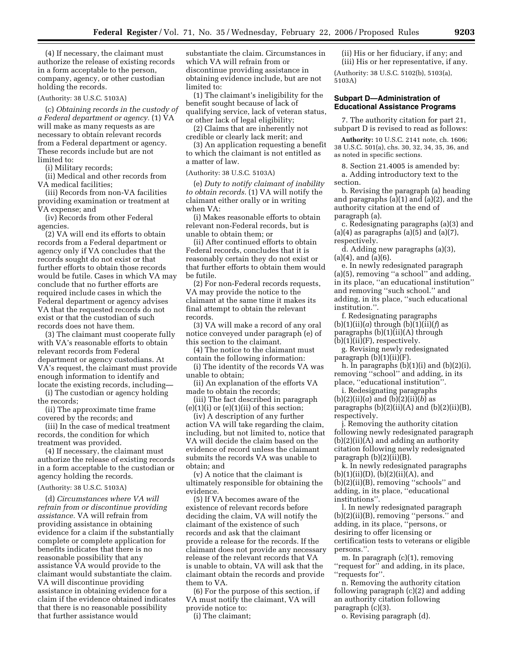(4) If necessary, the claimant must authorize the release of existing records in a form acceptable to the person, company, agency, or other custodian holding the records.

#### (Authority: 38 U.S.C. 5103A)

(c) *Obtaining records in the custody of a Federal department or agency.* (1) VA will make as many requests as are necessary to obtain relevant records from a Federal department or agency. These records include but are not limited to:

(i) Military records;

(ii) Medical and other records from VA medical facilities;

(iii) Records from non-VA facilities providing examination or treatment at VA expense; and

(iv) Records from other Federal agencies.

(2) VA will end its efforts to obtain records from a Federal department or agency only if VA concludes that the records sought do not exist or that further efforts to obtain those records would be futile. Cases in which VA may conclude that no further efforts are required include cases in which the Federal department or agency advises VA that the requested records do not exist or that the custodian of such records does not have them.

(3) The claimant must cooperate fully with VA's reasonable efforts to obtain relevant records from Federal department or agency custodians. At VA's request, the claimant must provide enough information to identify and locate the existing records, including—

(i) The custodian or agency holding the records;

(ii) The approximate time frame covered by the records; and

(iii) In the case of medical treatment records, the condition for which treatment was provided.

(4) If necessary, the claimant must authorize the release of existing records in a form acceptable to the custodian or agency holding the records.

#### (Authority: 38 U.S.C. 5103A)

(d) *Circumstances where VA will refrain from or discontinue providing assistance.* VA will refrain from providing assistance in obtaining evidence for a claim if the substantially complete or complete application for benefits indicates that there is no reasonable possibility that any assistance VA would provide to the claimant would substantiate the claim. VA will discontinue providing assistance in obtaining evidence for a claim if the evidence obtained indicates that there is no reasonable possibility that further assistance would

substantiate the claim. Circumstances in which VA will refrain from or discontinue providing assistance in obtaining evidence include, but are not limited to:

(1) The claimant's ineligibility for the benefit sought because of lack of qualifying service, lack of veteran status, or other lack of legal eligibility;

(2) Claims that are inherently not

credible or clearly lack merit; and

(3) An application requesting a benefit to which the claimant is not entitled as a matter of law.

#### (Authority: 38 U.S.C. 5103A)

(e) *Duty to notify claimant of inability to obtain records.* (1) VA will notify the claimant either orally or in writing when VA:

(i) Makes reasonable efforts to obtain relevant non-Federal records, but is unable to obtain them; or

(ii) After continued efforts to obtain Federal records, concludes that it is reasonably certain they do not exist or that further efforts to obtain them would be futile.

(2) For non-Federal records requests, VA may provide the notice to the claimant at the same time it makes its final attempt to obtain the relevant records.

(3) VA will make a record of any oral notice conveyed under paragraph (e) of this section to the claimant.

(4) The notice to the claimant must contain the following information:

(i) The identity of the records VA was unable to obtain;

(ii) An explanation of the efforts VA made to obtain the records;

(iii) The fact described in paragraph  $(e)(1)(i)$  or  $(e)(1)(ii)$  of this section;

(iv) A description of any further action VA will take regarding the claim, including, but not limited to, notice that VA will decide the claim based on the evidence of record unless the claimant submits the records VA was unable to obtain; and

(v) A notice that the claimant is ultimately responsible for obtaining the evidence.

(5) If VA becomes aware of the existence of relevant records before deciding the claim, VA will notify the claimant of the existence of such records and ask that the claimant provide a release for the records. If the claimant does not provide any necessary release of the relevant records that VA is unable to obtain, VA will ask that the claimant obtain the records and provide them to VA.

(6) For the purpose of this section, if VA must notify the claimant, VA will provide notice to:

(i) The claimant;

(ii) His or her fiduciary, if any; and (iii) His or her representative, if any.

(Authority: 38 U.S.C. 5102(b), 5103(a), 5103A)

#### **Subpart D—Administration of Educational Assistance Programs**

7. The authority citation for part 21, subpart D is revised to read as follows:

**Authority:** 10 U.S.C. 2141 note, ch. 1606; 38 U.S.C. 501(a), chs. 30, 32, 34, 35, 36, and as noted in specific sections.

8. Section 21.4005 is amended by: a. Adding introductory text to the

section. b. Revising the paragraph (a) heading and paragraphs (a)(1) and (a)(2), and the

authority citation at the end of paragraph (a).

c. Redesignating paragraphs (a)(3) and  $(a)(4)$  as paragraphs  $(a)(5)$  and  $(a)(7)$ , respectively.

d. Adding new paragraphs (a)(3), (a)(4), and (a)(6).

e. In newly redesignated paragraph (a)(5), removing ''a school'' and adding, in its place, ''an educational institution'' and removing ''such school.'' and adding, in its place, ''such educational institution.''.

f. Redesignating paragraphs  $(b)(1)(ii)(a)$  through  $(b)(1)(ii)(f)$  as paragraphs (b)(1)(ii)(A) through  $(b)(1)(ii)(F)$ , respectively.

g. Revising newly redesignated paragraph  $(b)(1)(ii)(F)$ .

h. In paragraphs  $(b)(1)(i)$  and  $(b)(2)(i)$ , removing ''school'' and adding, in its place, ''educational institution''.

i. Redesignating paragraphs  $(b)(2)(ii)(a)$  and  $(b)(2)(ii)(b)$  as paragraphs  $(b)(2)(ii)(A)$  and  $(b)(2)(ii)(B)$ , respectively.

j. Removing the authority citation following newly redesignated paragraph (b)(2)(ii)(A) and adding an authority citation following newly redesignated paragraph (b)(2)(ii)(B).

k. In newly redesignated paragraphs  $(b)(1)(ii)(D), (b)(2)(ii)(A), and$ (b)(2)(ii)(B), removing ''schools'' and adding, in its place, ''educational institutions''.

l. In newly redesignated paragraph (b)(2)(ii)(B), removing ''persons.'' and adding, in its place, ''persons, or desiring to offer licensing or certification tests to veterans or eligible persons.''.

m. In paragraph (c)(1), removing ''request for'' and adding, in its place, ''requests for''.

n. Removing the authority citation following paragraph (c)(2) and adding an authority citation following paragraph (c)(3).

o. Revising paragraph (d).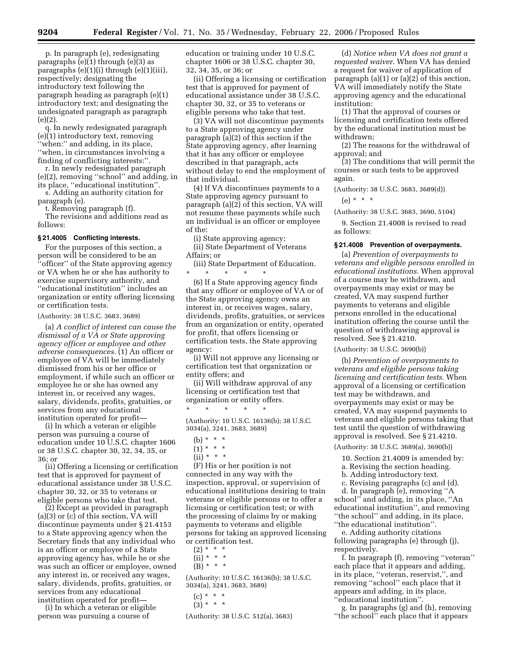p. In paragraph (e), redesignating paragraphs (e)(1) through (e)(3) as paragraphs (e)(1)(i) through (e)(1)(iii), respectively; designating the introductory text following the paragraph heading as paragraph (e)(1) introductory text; and designating the undesignated paragraph as paragraph (e)(2).

q. In newly redesignated paragraph (e)(1) introductory text, removing ''when:'' and adding, in its place, ''when, in circumstances involving a finding of conflicting interests:''.

r. In newly redesignated paragraph (e)(2), removing ''school'' and adding, in its place, ''educational institution''.

s. Adding an authority citation for paragraph (e).

t. Removing paragraph (f).

The revisions and additions read as follows:

# **§ 21.4005 Conflicting interests.**

For the purposes of this section, a person will be considered to be an ''officer'' of the State approving agency or VA when he or she has authority to exercise supervisory authority, and ''educational institution'' includes an organization or entity offering licensing or certification tests.

#### (Authority: 38 U.S.C. 3683, 3689)

(a) *A conflict of interest can cause the dismissal of a VA or State approving agency officer or employee and other adverse consequences.* (1) An officer or employee of VA will be immediately dismissed from his or her office or employment, if while such an officer or employee he or she has owned any interest in, or received any wages, salary, dividends, profits, gratuities, or services from any educational institution operated for profit—

(i) In which a veteran or eligible person was pursuing a course of education under 10 U.S.C. chapter 1606 or 38 U.S.C. chapter 30, 32, 34, 35, or 36; or

(ii) Offering a licensing or certification test that is approved for payment of educational assistance under 38 U.S.C. chapter 30, 32, or 35 to veterans or eligible persons who take that test.

(2) Except as provided in paragraph (a)(3) or (c) of this section, VA will discontinue payments under § 21.4153 to a State approving agency when the Secretary finds that any individual who is an officer or employee of a State approving agency has, while he or she was such an officer or employee, owned any interest in, or received any wages, salary, dividends, profits, gratuities, or services from any educational institution operated for profit—

(i) In which a veteran or eligible person was pursuing a course of

education or training under 10 U.S.C. chapter 1606 or 38 U.S.C. chapter 30, 32, 34, 35, or 36; or

(ii) Offering a licensing or certification test that is approved for payment of educational assistance under 38 U.S.C. chapter 30, 32, or 35 to veterans or eligible persons who take that test.

(3) VA will not discontinue payments to a State approving agency under paragraph (a)(2) of this section if the State approving agency, after learning that it has any officer or employee described in that paragraph, acts without delay to end the employment of that individual.

(4) If VA discontinues payments to a State approving agency pursuant to paragraph (a)(2) of this section, VA will not resume these payments while such an individual is an officer or employee of the:

(i) State approving agency;

(ii) State Department of Veterans Affairs; or

(iii) State Department of Education.  $\qquad \qquad * \qquad * \qquad *$ \* \* \* \* \*

(6) If a State approving agency finds that any officer or employee of VA or of the State approving agency owns an interest in, or receives wages, salary, dividends, profits, gratuities, or services from an organization or entity, operated for profit, that offers licensing or certification tests, the State approving agency:

(i) Will not approve any licensing or certification test that organization or entity offers; and

(ii) Will withdraw approval of any licensing or certification test that organization or entity offers.

(Authority: 10 U.S.C. 16136(b); 38 U.S.C. 3034(a), 3241, 3683, 3689)

(b) \* \* \*

\* \* \* \* \*

- $(1) * * * *$
- $(ii) * * * *$

(F) His or her position is not connected in any way with the inspection, approval, or supervision of educational institutions desiring to train veterans or eligible persons or to offer a licensing or certification test; or with the processing of claims by or making payments to veterans and eligible persons for taking an approved licensing or certification test.

- $(2) * * * *$
- $(ii) * * * *$  $(B) * * * *$

(Authority: 10 U.S.C. 16136(b); 38 U.S.C. 3034(a), 3241, 3683, 3689)

- (c) \* \* \*
- $(3) * * * *$

(Authority: 38 U.S.C. 512(a), 3683)

(d) *Notice when VA does not grant a requested waiver.* When VA has denied a request for waiver of application of paragraph (a)(1) or (a)(2) of this section, VA will immediately notify the State approving agency and the educational institution:

(1) That the approval of courses or licensing and certification tests offered by the educational institution must be withdrawn;

(2) The reasons for the withdrawal of approval; and

(3) The conditions that will permit the courses or such tests to be approved again.

(Authority: 38 U.S.C. 3683, 3689(d))

(e) \* \* \*

(Authority: 38 U.S.C. 3683, 3690, 5104)

9. Section 21.4008 is revised to read as follows:

#### **§ 21.4008 Prevention of overpayments.**

(a) *Prevention of overpayments to veterans and eligible persons enrolled in educational institutions.* When approval of a course may be withdrawn, and overpayments may exist or may be created, VA may suspend further payments to veterans and eligible persons enrolled in the educational institution offering the course until the question of withdrawing approval is resolved. See § 21.4210.

(Authority: 38 U.S.C. 3690(b))

(b) *Prevention of overpayments to veterans and eligible persons taking licensing and certification tests.* When approval of a licensing or certification test may be withdrawn, and overpayments may exist or may be created, VA may suspend payments to veterans and eligible persons taking that test until the question of withdrawing approval is resolved. See § 21.4210.

(Authority: 38 U.S.C. 3689(a), 3690(b))

10. Section 21.4009 is amended by:

a. Revising the section heading.

b. Adding introductory text.

c. Revising paragraphs (c) and (d). d. In paragraph (e), removing ''A school'' and adding, in its place, ''An educational institution'', and removing ''the school'' and adding, in its place, ''the educational institution''.

e. Adding authority citations following paragraphs (e) through (j), respectively.

f. In paragraph (f), removing ''veteran'' each place that it appears and adding, in its place, ''veteran, reservist,'', and removing ''school'' each place that it appears and adding, in its place, ''educational institution''.

g. In paragraphs (g) and (h), removing ''the school'' each place that it appears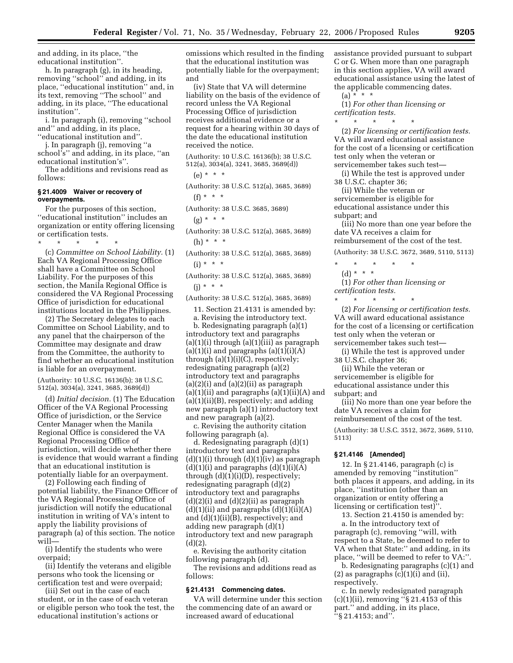and adding, in its place, ''the educational institution''.

h. In paragraph (g), in its heading, removing ''school'' and adding, in its place, ''educational institution'' and, in its text, removing ''The school'' and adding, in its place, ''The educational institution''.

i. In paragraph (i), removing ''school and'' and adding, in its place, ''educational institution and''.

j. In paragraph (j), removing ''a school's'' and adding, in its place, ''an educational institution's''.

The additions and revisions read as follows:

#### **§ 21.4009 Waiver or recovery of overpayments.**

For the purposes of this section, ''educational institution'' includes an organization or entity offering licensing or certification tests.

\* \* \* \* \*

(c) *Committee on School Liability.* (1) Each VA Regional Processing Office shall have a Committee on School Liability. For the purposes of this section, the Manila Regional Office is considered the VA Regional Processing Office of jurisdiction for educational institutions located in the Philippines.

(2) The Secretary delegates to each Committee on School Liability, and to any panel that the chairperson of the Committee may designate and draw from the Committee, the authority to find whether an educational institution is liable for an overpayment.

(Authority: 10 U.S.C. 16136(b); 38 U.S.C. 512(a), 3034(a), 3241, 3685, 3689(d))

(d) *Initial decision.* (1) The Education Officer of the VA Regional Processing Office of jurisdiction, or the Service Center Manager when the Manila Regional Office is considered the VA Regional Processing Office of jurisdiction, will decide whether there is evidence that would warrant a finding that an educational institution is potentially liable for an overpayment.

(2) Following each finding of potential liability, the Finance Officer of the VA Regional Processing Office of jurisdiction will notify the educational institution in writing of VA's intent to apply the liability provisions of paragraph (a) of this section. The notice will—

(i) Identify the students who were overpaid;

(ii) Identify the veterans and eligible persons who took the licensing or certification test and were overpaid;

(iii) Set out in the case of each student, or in the case of each veteran or eligible person who took the test, the educational institution's actions or

omissions which resulted in the finding that the educational institution was potentially liable for the overpayment; and

(iv) State that VA will determine liability on the basis of the evidence of record unless the VA Regional Processing Office of jurisdiction receives additional evidence or a request for a hearing within 30 days of the date the educational institution received the notice.

(Authority: 10 U.S.C. 16136(b); 38 U.S.C. 512(a), 3034(a), 3241, 3685, 3689(d))

(Authority: 38 U.S.C. 512(a), 3685, 3689)  $(f) * * * *$ 

(Authority: 38 U.S.C. 3685, 3689)

 $(g) * * * *$ 

- (Authority: 38 U.S.C. 512(a), 3685, 3689) (h) \* \* \*
- (Authority: 38 U.S.C. 512(a), 3685, 3689)  $(i) * * * *$

(Authority: 38 U.S.C. 512(a), 3685, 3689) (j) \* \* \*

(Authority: 38 U.S.C. 512(a), 3685, 3689)

11. Section 21.4131 is amended by:

a. Revising the introductory text.

b. Redesignating paragraph (a)(1) introductory text and paragraphs  $(a)(1)(i)$  through  $(a)(1)(iii)$  as paragraph  $(a)(1)(i)$  and paragraphs  $(a)(1)(i)(A)$ through  $(a)(1)(i)(C)$ , respectively; redesignating paragraph (a)(2) introductory text and paragraphs  $(a)(2)(i)$  and  $(a)(2)(ii)$  as paragraph  $(a)(1)(ii)$  and paragraphs  $(a)(1)(ii)(A)$  and (a)(1)(ii)(B), respectively; and adding new paragraph (a)(1) introductory text and new paragraph (a)(2).

c. Revising the authority citation following paragraph (a).

d. Redesignating paragraph (d)(1) introductory text and paragraphs  $(d)(1)(i)$  through  $(d)(1)(iv)$  as paragraph  $(d)(1)(i)$  and paragraphs  $(d)(1)(i)(A)$ through (d)(1)(i)(D), respectively; redesignating paragraph (d)(2) introductory text and paragraphs  $(d)(2)(i)$  and  $(d)(2)(ii)$  as paragraph  $(d)(1)(ii)$  and paragraphs  $(d)(1)(ii)(A)$ and (d)(1)(ii)(B), respectively; and adding new paragraph (d)(1) introductory text and new paragraph (d)(2).

e. Revising the authority citation following paragraph (d).

The revisions and additions read as follows:

#### **§ 21.4131 Commencing dates.**

VA will determine under this section the commencing date of an award or increased award of educational

assistance provided pursuant to subpart C or G. When more than one paragraph in this section applies, VA will award educational assistance using the latest of the applicable commencing dates.

 $(a) * * * *$ (1) *For other than licensing or certification tests.* 

\* \* \* \* \* (2) *For licensing or certification tests.*  VA will award educational assistance for the cost of a licensing or certification test only when the veteran or

servicemember takes such test— (i) While the test is approved under 38 U.S.C. chapter 36;

(ii) While the veteran or

servicemember is eligible for educational assistance under this subpart; and

(iii) No more than one year before the date VA receives a claim for reimbursement of the cost of the test.

(Authority: 38 U.S.C. 3672, 3689, 5110, 5113)

- \* \* \* \* \*
- (d) \* \* \*

(1) *For other than licensing or certification tests.* 

\* \* \* \* \* (2) *For licensing or certification tests.*  VA will award educational assistance for the cost of a licensing or certification test only when the veteran or servicemember takes such test—

(i) While the test is approved under 38 U.S.C. chapter 36;

(ii) While the veteran or servicemember is eligible for educational assistance under this subpart; and

(iii) No more than one year before the date VA receives a claim for reimbursement of the cost of the test.

(Authority: 38 U.S.C. 3512, 3672, 3689, 5110, 5113)

# **§ 21.4146 [Amended]**

12. In § 21.4146, paragraph (c) is amended by removing ''institution'' both places it appears, and adding, in its place, ''institution (other than an organization or entity offering a licensing or certification test)''.

13. Section 21.4150 is amended by:

a. In the introductory text of paragraph (c), removing ''will, with respect to a State, be deemed to refer to VA when that State:'' and adding, in its place, ''will be deemed to refer to VA:''.

b. Redesignating paragraphs (c)(1) and  $(2)$  as paragraphs  $(c)(1)(i)$  and  $(ii)$ , respectively.

c. In newly redesignated paragraph  $(c)(1)(ii)$ , removing "§ 21.4153 of this part.'' and adding, in its place, ''§ 21.4153; and''.

 $(e) * * * *$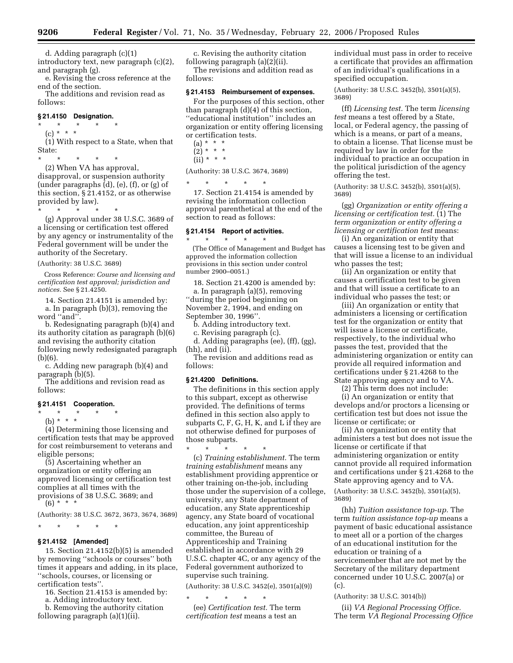d. Adding paragraph (c)(1)

introductory text, new paragraph (c)(2), and paragraph (g). e. Revising the cross reference at the

end of the section. The additions and revision read as follows:

#### **§ 21.4150 Designation.**

\* \* \* \* \*

(c) \* \* \* (1) With respect to a State, when that State:

\* \* \* \* \*

(2) When VA has approval, disapproval, or suspension authority (under paragraphs (d), (e), (f), or (g) of this section, § 21.4152, or as otherwise provided by law).

\* \* \* \* \*

(g) Approval under 38 U.S.C. 3689 of a licensing or certification test offered by any agency or instrumentality of the Federal government will be under the authority of the Secretary.

(Authority: 38 U.S.C. 3689)

Cross Reference: *Course and licensing and certification test approval; jurisdiction and notices.* See § 21.4250.

14. Section 21.4151 is amended by: a. In paragraph (b)(3), removing the word ''and''.

b. Redesignating paragraph (b)(4) and its authority citation as paragraph (b)(6) and revising the authority citation following newly redesignated paragraph (b)(6).

c. Adding new paragraph (b)(4) and paragraph (b)(5).

The additions and revision read as follows:

#### **§ 21.4151 Cooperation.**

\* \* \* \* \*

(b) \* \* \*

(4) Determining those licensing and certification tests that may be approved for cost reimbursement to veterans and eligible persons;

(5) Ascertaining whether an organization or entity offering an approved licensing or certification test complies at all times with the provisions of 38 U.S.C. 3689; and  $(6)$  \* \* \*

(Authority: 38 U.S.C. 3672, 3673, 3674, 3689)

\* \* \* \* \* **§ 21.4152 [Amended]** 

# 15. Section 21.4152(b)(5) is amended

by removing ''schools or courses'' both times it appears and adding, in its place, ''schools, courses, or licensing or certification tests''.

16. Section 21.4153 is amended by:

a. Adding introductory text.

b. Removing the authority citation following paragraph (a)(1)(ii).

c. Revising the authority citation following paragraph (a)(2)(ii). The revisions and addition read as follows:

#### **§ 21.4153 Reimbursement of expenses.**

For the purposes of this section, other than paragraph (d)(4) of this section, ''educational institution'' includes an organization or entity offering licensing or certification tests.

- $(a) * * * *$  $(2) * * * *$
- $(ii) * * * *$

# (Authority: 38 U.S.C. 3674, 3689)

\* \* \* \* \*

17. Section 21.4154 is amended by revising the information collection approval parenthetical at the end of the section to read as follows:

#### **§ 21.4154 Report of activities.**

\* \* \* \* \* (The Office of Management and Budget has approved the information collection provisions in this section under control number 2900–0051.)

18. Section 21.4200 is amended by:

a. In paragraph (a)(5), removing ''during the period beginning on November 2, 1994, and ending on September 30, 1996''.

b. Adding introductory text.

c. Revising paragraph (c).

d. Adding paragraphs (ee), (ff), (gg), (hh), and (ii).

The revision and additions read as follows:

#### **§ 21.4200 Definitions.**

The definitions in this section apply to this subpart, except as otherwise provided. The definitions of terms defined in this section also apply to subparts C, F, G, H, K, and L if they are not otherwise defined for purposes of those subparts.

\* \* \* \* \* (c) *Training establishment.* The term *training establishment* means any establishment providing apprentice or other training on-the-job, including those under the supervision of a college, university, any State department of education, any State apprenticeship agency, any State board of vocational education, any joint apprenticeship committee, the Bureau of Apprenticeship and Training established in accordance with 29 U.S.C. chapter 4C, or any agency of the Federal government authorized to supervise such training.

(Authority: 38 U.S.C. 3452(e), 3501(a)(9))

\* \* \* \* \*

(ee) *Certification test.* The term *certification test* means a test an

individual must pass in order to receive a certificate that provides an affirmation of an individual's qualifications in a specified occupation.

(Authority: 38 U.S.C. 3452(b), 3501(a)(5), 3689)

(ff) *Licensing test.* The term *licensing test* means a test offered by a State, local, or Federal agency, the passing of which is a means, or part of a means, to obtain a license. That license must be required by law in order for the individual to practice an occupation in the political jurisdiction of the agency offering the test.

(Authority: 38 U.S.C. 3452(b), 3501(a)(5), 3689)

(gg) *Organization or entity offering a licensing or certification test.* (1) The *term organization or entity offering a licensing or certification test* means:

(i) An organization or entity that causes a licensing test to be given and that will issue a license to an individual who passes the test;

(ii) An organization or entity that causes a certification test to be given and that will issue a certificate to an individual who passes the test; or

(iii) An organization or entity that administers a licensing or certification test for the organization or entity that will issue a license or certificate, respectively, to the individual who passes the test, provided that the administering organization or entity can provide all required information and certifications under § 21.4268 to the State approving agency and to VA.

(2) This term does not include:

(i) An organization or entity that develops and/or proctors a licensing or certification test but does not issue the license or certificate; or

(ii) An organization or entity that administers a test but does not issue the license or certificate if that administering organization or entity cannot provide all required information and certifications under § 21.4268 to the State approving agency and to VA.

(Authority: 38 U.S.C. 3452(b), 3501(a)(5), 3689)

(hh) *Tuition assistance top-up.* The term *tuition assistance top-up* means a payment of basic educational assistance to meet all or a portion of the charges of an educational institution for the education or training of a servicemember that are not met by the Secretary of the military department concerned under 10 U.S.C. 2007(a) or (c).

(Authority: 38 U.S.C. 3014(b))

(ii) *VA Regional Processing Office.*  The term *VA Regional Processing Office*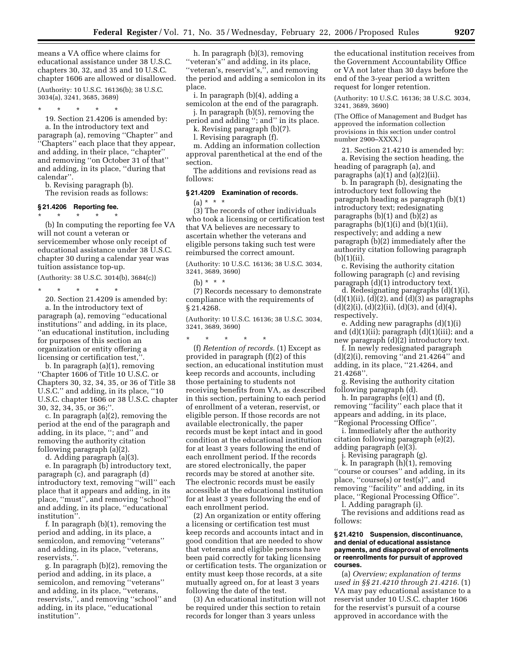means a VA office where claims for educational assistance under 38 U.S.C. chapters 30, 32, and 35 and 10 U.S.C. chapter 1606 are allowed or disallowed.

(Authority: 10 U.S.C. 16136(b); 38 U.S.C. 3034(a), 3241, 3685, 3689)

\* \* \* \* \*

19. Section 21.4206 is amended by: a. In the introductory text and paragraph (a), removing ''Chapter'' and ''Chapters'' each place that they appear, and adding, in their place, ''chapter'' and removing ''on October 31 of that'' and adding, in its place, ''during that calendar''.

b. Revising paragraph (b).

The revision reads as follows:

#### **§ 21.4206 Reporting fee.**

\* \* \* \* \*

(b) In computing the reporting fee VA will not count a veteran or servicemember whose only receipt of educational assistance under 38 U.S.C. chapter 30 during a calendar year was tuition assistance top-up.

(Authority: 38 U.S.C. 3014(b), 3684(c))

\* \* \* \* \*

20. Section 21.4209 is amended by: a. In the introductory text of paragraph (a), removing ''educational institutions'' and adding, in its place, ''an educational institution, including for purposes of this section an organization or entity offering a licensing or certification test,''.

b. In paragraph (a)(1), removing ''Chapter 1606 of Title 10 U.S.C. or Chapters 30, 32, 34, 35, or 36 of Title 38 U.S.C.'' and adding, in its place, ''10 U.S.C. chapter 1606 or 38 U.S.C. chapter 30, 32, 34, 35, or 36;''.

c. In paragraph (a)(2), removing the period at the end of the paragraph and adding, in its place, ''; and'' and removing the authority citation following paragraph (a)(2).

d. Adding paragraph (a)(3).

e. In paragraph (b) introductory text, paragraph (c), and paragraph (d) introductory text, removing ''will'' each place that it appears and adding, in its place, ''must'', and removing ''school'' and adding, in its place, ''educational institution''.

f. In paragraph (b)(1), removing the period and adding, in its place, a semicolon, and removing ''veterans'' and adding, in its place, ''veterans, reservists,''.

g. In paragraph (b)(2), removing the period and adding, in its place, a semicolon, and removing ''veterans'' and adding, in its place, ''veterans, reservists,'', and removing ''school'' and adding, in its place, ''educational institution''.

h. In paragraph (b)(3), removing ''veteran's'' and adding, in its place, ''veteran's, reservist's,'', and removing the period and adding a semicolon in its place.

i. In paragraph (b)(4), adding a semicolon at the end of the paragraph.

j. In paragraph (b)(5), removing the period and adding ''; and'' in its place.

k. Revising paragraph (b)(7).

l. Revising paragraph (f).

m. Adding an information collection approval parenthetical at the end of the section.

The additions and revisions read as follows:

# **§ 21.4209 Examination of records.**

(a) \* \* \*

(3) The records of other individuals who took a licensing or certification test that VA believes are necessary to ascertain whether the veterans and eligible persons taking such test were reimbursed the correct amount.

(Authority: 10 U.S.C. 16136; 38 U.S.C. 3034, 3241, 3689, 3690)

#### (b) \* \* \*

(7) Records necessary to demonstrate compliance with the requirements of § 21.4268.

(Authority: 10 U.S.C. 16136; 38 U.S.C. 3034, 3241, 3689, 3690)

\* \* \* \* \* (f) *Retention of records.* (1) Except as provided in paragraph (f)(2) of this section, an educational institution must keep records and accounts, including those pertaining to students not receiving benefits from VA, as described in this section, pertaining to each period of enrollment of a veteran, reservist, or eligible person. If those records are not available electronically, the paper records must be kept intact and in good condition at the educational institution for at least 3 years following the end of each enrollment period. If the records are stored electronically, the paper records may be stored at another site. The electronic records must be easily accessible at the educational institution for at least 3 years following the end of each enrollment period.

(2) An organization or entity offering a licensing or certification test must keep records and accounts intact and in good condition that are needed to show that veterans and eligible persons have been paid correctly for taking licensing or certification tests. The organization or entity must keep those records, at a site mutually agreed on, for at least 3 years following the date of the test.

(3) An educational institution will not be required under this section to retain records for longer than 3 years unless

the educational institution receives from the Government Accountability Office or VA not later than 30 days before the end of the 3-year period a written request for longer retention.

(Authority: 10 U.S.C. 16136; 38 U.S.C. 3034, 3241, 3689, 3690)

(The Office of Management and Budget has approved the information collection provisions in this section under control number 2900–XXXX.)

21. Section 21.4210 is amended by: a. Revising the section heading, the heading of paragraph (a), and paragraphs  $(a)(1)$  and  $(a)(2)(ii)$ .

b. In paragraph (b), designating the introductory text following the paragraph heading as paragraph (b)(1) introductory text; redesignating paragraphs  $(b)(1)$  and  $(b)(2)$  as paragraphs  $(b)(1)(i)$  and  $(b)(1)(ii)$ , respectively; and adding a new paragraph (b)(2) immediately after the authority citation following paragraph (b)(1)(ii).

c. Revising the authority citation following paragraph (c) and revising paragraph (d)(1) introductory text.

d. Redesignating paragraphs (d)(1)(i), (d)(1)(ii), (d)(2), and (d)(3) as paragraphs  $(d)(2)(i)$ ,  $(d)(2)(ii)$ ,  $(d)(3)$ , and  $(d)(4)$ , respectively.

e. Adding new paragraphs (d)(1)(i) and  $(d)(1)(ii)$ ; paragraph  $(d)(1)(iii)$ ; and a new paragraph (d)(2) introductory text.

f. In newly redesignated paragraph (d)(2)(i), removing ''and 21.4264'' and adding, in its place, ''21.4264, and 21.4268''.

g. Revising the authority citation following paragraph (d).

h. In paragraphs (e)(1) and (f), removing ''facility'' each place that it appears and adding, in its place, ''Regional Processing Office''.

i. Immediately after the authority citation following paragraph (e)(2), adding paragraph (e)(3).

j. Revising paragraph (g).

k. In paragraph (h)(1), removing ''course or courses'' and adding, in its place, ''course(s) or test(s)'', and removing ''facility'' and adding, in its place, ''Regional Processing Office''.

l. Adding paragraph (i).

The revisions and additions read as follows:

#### **§ 21.4210 Suspension, discontinuance, and denial of educational assistance payments, and disapproval of enrollments or reenrollments for pursuit of approved courses.**

(a) *Overview; explanation of terms used in §§ 21.4210 through 21.4216.* (1) VA may pay educational assistance to a reservist under 10 U.S.C. chapter 1606 for the reservist's pursuit of a course approved in accordance with the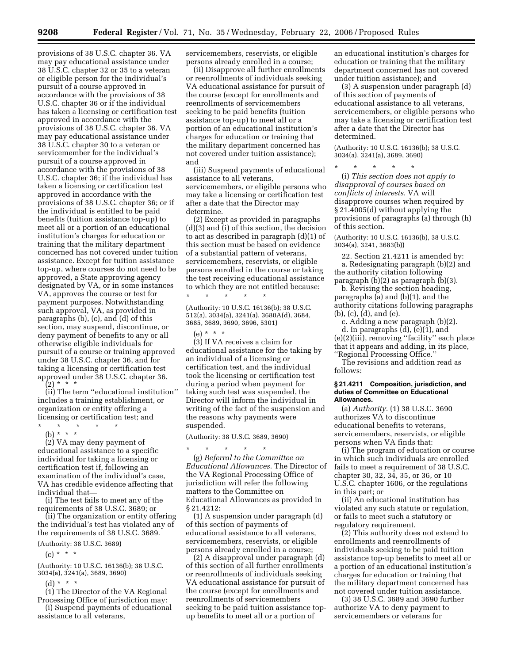provisions of 38 U.S.C. chapter 36. VA may pay educational assistance under 38 U.S.C. chapter 32 or 35 to a veteran or eligible person for the individual's pursuit of a course approved in accordance with the provisions of 38 U.S.C. chapter 36 or if the individual has taken a licensing or certification test approved in accordance with the provisions of 38 U.S.C. chapter 36. VA may pay educational assistance under 38 U.S.C. chapter 30 to a veteran or servicemember for the individual's pursuit of a course approved in accordance with the provisions of 38 U.S.C. chapter 36; if the individual has taken a licensing or certification test approved in accordance with the provisions of 38 U.S.C. chapter 36; or if the individual is entitled to be paid benefits (tuition assistance top-up) to meet all or a portion of an educational institution's charges for education or training that the military department concerned has not covered under tuition assistance. Except for tuition assistance top-up, where courses do not need to be approved, a State approving agency designated by VA, or in some instances VA, approves the course or test for payment purposes. Notwithstanding such approval, VA, as provided in paragraphs (b), (c), and (d) of this section, may suspend, discontinue, or deny payment of benefits to any or all otherwise eligible individuals for pursuit of a course or training approved under 38 U.S.C. chapter 36, and for taking a licensing or certification test approved under 38 U.S.C. chapter 36.

 $(2) * * * *$ 

(ii) The term ''educational institution'' includes a training establishment, or organization or entity offering a licensing or certification test; and

\* \* \* \* \* (b) \* \* \*

(2) VA may deny payment of educational assistance to a specific individual for taking a licensing or certification test if, following an examination of the individual's case, VA has credible evidence affecting that individual that—

(i) The test fails to meet any of the requirements of 38 U.S.C. 3689; or

(ii) The organization or entity offering the individual's test has violated any of the requirements of 38 U.S.C. 3689.

(Authority: 38 U.S.C. 3689)

 $(c) * * * *$ 

(Authority: 10 U.S.C. 16136(b); 38 U.S.C. 3034(a), 3241(a), 3689, 3690)

(d) \* \* \*

(1) The Director of the VA Regional Processing Office of jurisdiction may:

(i) Suspend payments of educational assistance to all veterans,

servicemembers, reservists, or eligible persons already enrolled in a course;

(ii) Disapprove all further enrollments or reenrollments of individuals seeking VA educational assistance for pursuit of the course (except for enrollments and reenrollments of servicemembers seeking to be paid benefits (tuition assistance top-up) to meet all or a portion of an educational institution's charges for education or training that the military department concerned has not covered under tuition assistance); and

(iii) Suspend payments of educational assistance to all veterans, servicemembers, or eligible persons who may take a licensing or certification test after a date that the Director may determine.

(2) Except as provided in paragraphs (d)(3) and (i) of this section, the decision to act as described in paragraph (d)(1) of this section must be based on evidence of a substantial pattern of veterans, servicemembers, reservists, or eligible persons enrolled in the course or taking the test receiving educational assistance to which they are not entitled because:

\* \* \* \* \* (Authority: 10 U.S.C. 16136(b); 38 U.S.C. 512(a), 3034(a), 3241(a), 3680A(d), 3684, 3685, 3689, 3690, 3696, 5301)

(e) \* \* \*

(3) If VA receives a claim for educational assistance for the taking by an individual of a licensing or certification test, and the individual took the licensing or certification test during a period when payment for taking such test was suspended, the Director will inform the individual in writing of the fact of the suspension and the reasons why payments were suspended.

(Authority: 38 U.S.C. 3689, 3690)

\* \* \* \* \*

(g) *Referral to the Committee on Educational Allowances.* The Director of the VA Regional Processing Office of jurisdiction will refer the following matters to the Committee on Educational Allowances as provided in § 21.4212:

(1) A suspension under paragraph (d) of this section of payments of educational assistance to all veterans, servicemembers, reservists, or eligible persons already enrolled in a course;

(2) A disapproval under paragraph (d) of this section of all further enrollments or reenrollments of individuals seeking VA educational assistance for pursuit of the course (except for enrollments and reenrollments of servicemembers seeking to be paid tuition assistance topup benefits to meet all or a portion of

an educational institution's charges for education or training that the military department concerned has not covered under tuition assistance); and

(3) A suspension under paragraph (d) of this section of payments of educational assistance to all veterans, servicemembers, or eligible persons who may take a licensing or certification test after a date that the Director has determined.

(Authority: 10 U.S.C. 16136(b); 38 U.S.C. 3034(a), 3241(a), 3689, 3690)

\* \* \* \* \* (i) *This section does not apply to disapproval of courses based on conflicts of interests.* VA will disapprove courses when required by § 21.4005(d) without applying the provisions of paragraphs (a) through (h) of this section.

(Authority: 10 U.S.C. 16136(b), 38 U.S.C. 3034(a), 3241, 3683(b))

22. Section 21.4211 is amended by: a. Redesignating paragraph (b)(2) and the authority citation following paragraph (b)(2) as paragraph (b)(3).

b. Revising the section heading, paragraphs (a) and (b)(1), and the authority citations following paragraphs (b), (c), (d), and (e).

c. Adding a new paragraph (b)(2). d. In paragraphs  $(d)$ ,  $(e)(1)$ , and (e)(2)(iii), removing ''facility'' each place that it appears and adding, in its place, ''Regional Processing Office.''

The revisions and addition read as follows:

#### **§ 21.4211 Composition, jurisdiction, and duties of Committee on Educational Allowances.**

(a) *Authority.* (1) 38 U.S.C. 3690 authorizes VA to discontinue educational benefits to veterans, servicemembers, reservists, or eligible persons when VA finds that:

(i) The program of education or course in which such individuals are enrolled fails to meet a requirement of 38 U.S.C. chapter 30, 32, 34, 35, or 36, or 10 U.S.C. chapter 1606, or the regulations in this part; or

(ii) An educational institution has violated any such statute or regulation, or fails to meet such a statutory or regulatory requirement.

(2) This authority does not extend to enrollments and reenrollments of individuals seeking to be paid tuition assistance top-up benefits to meet all or a portion of an educational institution's charges for education or training that the military department concerned has not covered under tuition assistance.

(3) 38 U.S.C. 3689 and 3690 further authorize VA to deny payment to servicemembers or veterans for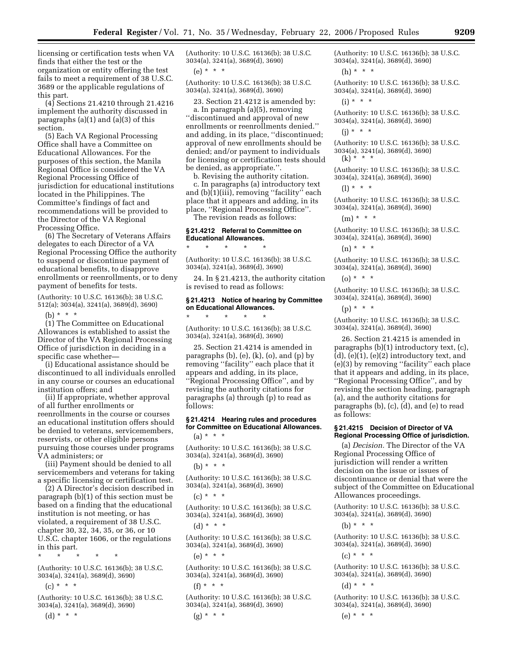licensing or certification tests when VA finds that either the test or the organization or entity offering the test fails to meet a requirement of 38 U.S.C. 3689 or the applicable regulations of this part.

(4) Sections 21.4210 through 21.4216 implement the authority discussed in paragraphs (a)(1) and (a)(3) of this section.

(5) Each VA Regional Processing Office shall have a Committee on Educational Allowances. For the purposes of this section, the Manila Regional Office is considered the VA Regional Processing Office of jurisdiction for educational institutions located in the Philippines. The Committee's findings of fact and recommendations will be provided to the Director of the VA Regional Processing Office.

(6) The Secretary of Veterans Affairs delegates to each Director of a VA Regional Processing Office the authority to suspend or discontinue payment of educational benefits, to disapprove enrollments or reenrollments, or to deny payment of benefits for tests.

(Authority: 10 U.S.C. 16136(b); 38 U.S.C. 512(a); 3034(a), 3241(a), 3689(d), 3690)

(b) \* \* \*

(1) The Committee on Educational Allowances is established to assist the Director of the VA Regional Processing Office of jurisdiction in deciding in a specific case whether—

(i) Educational assistance should be discontinued to all individuals enrolled in any course or courses an educational institution offers; and

(ii) If appropriate, whether approval of all further enrollments or reenrollments in the course or courses an educational institution offers should be denied to veterans, servicemembers, reservists, or other eligible persons pursuing those courses under programs VA administers; or

(iii) Payment should be denied to all servicemembers and veterans for taking a specific licensing or certification test.

(2) A Director's decision described in paragraph (b)(1) of this section must be based on a finding that the educational institution is not meeting, or has violated, a requirement of 38 U.S.C. chapter 30, 32, 34, 35, or 36, or 10 U.S.C. chapter 1606, or the regulations in this part.

(Authority: 10 U.S.C. 16136(b); 38 U.S.C. 3034(a), 3241(a), 3689(d), 3690)

\* \* \* \* \*

 $(c) * * * *$ 

(Authority: 10 U.S.C. 16136(b); 38 U.S.C. 3034(a), 3241(a), 3689(d), 3690)

(d) \* \* \*

(Authority: 10 U.S.C. 16136(b); 38 U.S.C. 3034(a), 3241(a), 3689(d), 3690)

(e) \* \* \*

(Authority: 10 U.S.C. 16136(b); 38 U.S.C. 3034(a), 3241(a), 3689(d), 3690)

23. Section 21.4212 is amended by: a. In paragraph (a)(5), removing ''discontinued and approval of new enrollments or reenrollments denied.'' and adding, in its place, ''discontinued; approval of new enrollments should be denied; and/or payment to individuals for licensing or certification tests should be denied, as appropriate.''.

b. Revising the authority citation. c. In paragraphs (a) introductory text and (b)(1)(iii), removing "facility" each place that it appears and adding, in its place, ''Regional Processing Office''.

The revision reads as follows:

#### **§ 21.4212 Referral to Committee on Educational Allowances.**

\* \* \* \* \*

\* \* \* \* \*

(Authority: 10 U.S.C. 16136(b); 38 U.S.C. 3034(a), 3241(a), 3689(d), 3690)

24. In § 21.4213, the authority citation is revised to read as follows:

# **§ 21.4213 Notice of hearing by Committee on Educational Allowances.**

(Authority: 10 U.S.C. 16136(b); 38 U.S.C. 3034(a), 3241(a), 3689(d), 3690)

25. Section 21.4214 is amended in paragraphs  $(b)$ ,  $(e)$ ,  $(k)$ ,  $(o)$ , and  $(p)$  by removing ''facility'' each place that it appears and adding, in its place, ''Regional Processing Office'', and by revising the authority citations for paragraphs (a) through (p) to read as follows:

# **§ 21.4214 Hearing rules and procedures for Committee on Educational Allowances.**  (a) \* \* \*

(Authority: 10 U.S.C. 16136(b); 38 U.S.C. 3034(a), 3241(a), 3689(d), 3690)

 $(h) * * * *$ 

# (Authority: 10 U.S.C. 16136(b); 38 U.S.C. 3034(a), 3241(a), 3689(d), 3690)

 $(c) * * * *$ 

(Authority: 10 U.S.C. 16136(b); 38 U.S.C. 3034(a), 3241(a), 3689(d), 3690)

(d) \* \* \*

(e) \* \* \*

(Authority: 10 U.S.C. 16136(b); 38 U.S.C. 3034(a), 3241(a), 3689(d), 3690)

(Authority: 10 U.S.C. 16136(b); 38 U.S.C. 3034(a), 3241(a), 3689(d), 3690)

 $(f) * * * *$ 

(Authority: 10 U.S.C. 16136(b); 38 U.S.C. 3034(a), 3241(a), 3689(d), 3690)

 $(g) * * * *$ 

(Authority: 10 U.S.C. 16136(b); 38 U.S.C. 3034(a), 3241(a), 3689(d), 3690)

(h) \* \* \*

(Authority: 10 U.S.C. 16136(b); 38 U.S.C. 3034(a), 3241(a), 3689(d), 3690)

 $(i) * * * *$ 

(Authority: 10 U.S.C. 16136(b); 38 U.S.C. 3034(a), 3241(a), 3689(d), 3690)

 $(i) * * * *$ 

(Authority: 10 U.S.C. 16136(b); 38 U.S.C. 3034(a), 3241(a), 3689(d), 3690) (k) \* \* \*

(Authority: 10 U.S.C. 16136(b); 38 U.S.C. 3034(a), 3241(a), 3689(d), 3690)

 $(1) * * * *$ 

(Authority: 10 U.S.C. 16136(b); 38 U.S.C. 3034(a), 3241(a), 3689(d), 3690)

(m) \* \* \*

(Authority: 10 U.S.C. 16136(b); 38 U.S.C. 3034(a), 3241(a), 3689(d), 3690)

 $(n) * * * *$ 

(Authority: 10 U.S.C. 16136(b); 38 U.S.C. 3034(a), 3241(a), 3689(d), 3690)

 $(0) * * * *$ 

(Authority: 10 U.S.C. 16136(b); 38 U.S.C. 3034(a), 3241(a), 3689(d), 3690)

(p) \* \* \*

(Authority: 10 U.S.C. 16136(b); 38 U.S.C. 3034(a), 3241(a), 3689(d), 3690)

26. Section 21.4215 is amended in paragraphs (b)(1) introductory text, (c),  $(d)$ ,  $(e)(1)$ ,  $(e)(2)$  introductory text, and (e)(3) by removing ''facility'' each place that it appears and adding, in its place, ''Regional Processing Office'', and by revising the section heading, paragraph (a), and the authority citations for paragraphs (b), (c), (d), and (e) to read as follows:

#### **§ 21.4215 Decision of Director of VA Regional Processing Office of jurisdiction.**

(a) *Decision.* The Director of the VA Regional Processing Office of jurisdiction will render a written decision on the issue or issues of discontinuance or denial that were the subject of the Committee on Educational Allowances proceedings.

(Authority: 10 U.S.C. 16136(b); 38 U.S.C. 3034(a), 3241(a), 3689(d), 3690)

(b) \* \* \*

(Authority: 10 U.S.C. 16136(b); 38 U.S.C. 3034(a), 3241(a), 3689(d), 3690)

 $(c) * * * *$ 

(Authority: 10 U.S.C. 16136(b); 38 U.S.C. 3034(a), 3241(a), 3689(d), 3690)

(d) \* \* \*

(Authority: 10 U.S.C. 16136(b); 38 U.S.C. 3034(a), 3241(a), 3689(d), 3690)

(e) \* \* \*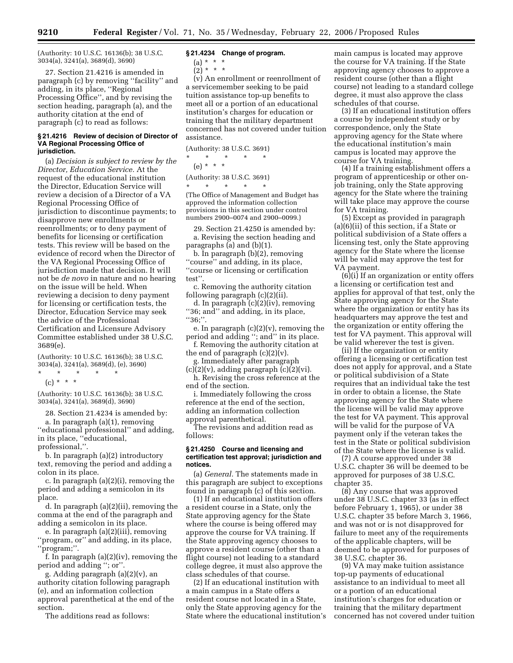(Authority: 10 U.S.C. 16136(b); 38 U.S.C. 3034(a), 3241(a), 3689(d), 3690)

27. Section 21.4216 is amended in paragraph (c) by removing ''facility'' and adding, in its place, ''Regional Processing Office'', and by revising the section heading, paragraph (a), and the authority citation at the end of paragraph (c) to read as follows:

#### **§ 21.4216 Review of decision of Director of VA Regional Processing Office of jurisdiction.**

(a) *Decision is subject to review by the Director, Education Service.* At the request of the educational institution the Director, Education Service will review a decision of a Director of a VA Regional Processing Office of jurisdiction to discontinue payments; to disapprove new enrollments or reenrollments; or to deny payment of benefits for licensing or certification tests. This review will be based on the evidence of record when the Director of the VA Regional Processing Office of jurisdiction made that decision. It will not be *de novo* in nature and no hearing on the issue will be held. When reviewing a decision to deny payment for licensing or certification tests, the Director, Education Service may seek the advice of the Professional Certification and Licensure Advisory Committee established under 38 U.S.C. 3689(e).

(Authority: 10 U.S.C. 16136(b); 38 U.S.C. 3034(a), 3241(a), 3689(d), (e), 3690)

\* \* \* \* \* (c) \* \* \*

(Authority: 10 U.S.C. 16136(b); 38 U.S.C. 3034(a), 3241(a), 3689(d), 3690)

28. Section 21.4234 is amended by: a. In paragraph (a)(1), removing ''educational professional'' and adding, in its place, ''educational, professional,''.

b. In paragraph (a)(2) introductory text, removing the period and adding a colon in its place.

c. In paragraph (a)(2)(i), removing the period and adding a semicolon in its place.

d. In paragraph (a)(2)(ii), removing the comma at the end of the paragraph and adding a semicolon in its place.

e. In paragraph (a)(2)(iii), removing ''program, or'' and adding, in its place, 'program;".

f. In paragraph (a)(2)(iv), removing the period and adding ''; or''.

g. Adding paragraph (a)(2)(v), an authority citation following paragraph (e), and an information collection approval parenthetical at the end of the section.

The additions read as follows:

#### **§ 21.4234 Change of program.**

(a) \* \* \*

 $(2) * * * *$ 

(v) An enrollment or reenrollment of a servicemember seeking to be paid tuition assistance top-up benefits to meet all or a portion of an educational institution's charges for education or training that the military department concerned has not covered under tuition assistance.

(Authority: 38 U.S.C. 3691)

\* \* \* \* \* (e) \* \* \*

(Authority: 38 U.S.C. 3691)

\* \* \* \* \* (The Office of Management and Budget has approved the information collection provisions in this section under control numbers 2900–0074 and 2900–0099.)

29. Section 21.4250 is amended by: a. Revising the section heading and paragraphs (a) and (b)(1).

b. In paragraph (b)(2), removing ''course'' and adding, in its place, ''course or licensing or certification test''.

c. Removing the authority citation following paragraph (c)(2)(ii).

d. In paragraph (c)(2)(iv), removing ''36; and'' and adding, in its place, ''36;''.

e. In paragraph (c)(2)(v), removing the period and adding ''; and'' in its place.

f. Removing the authority citation at the end of paragraph  $(c)(2)(v)$ .

g. Immediately after paragraph

 $(c)(2)(v)$ , adding paragraph  $(c)(2)(vi)$ . h. Revising the cross reference at the end of the section.

i. Immediately following the cross reference at the end of the section, adding an information collection approval parenthetical.

The revisions and addition read as follows:

#### **§ 21.4250 Course and licensing and certification test approval; jurisdiction and notices.**

(a) *General.* The statements made in this paragraph are subject to exceptions found in paragraph (c) of this section.

(1) If an educational institution offers a resident course in a State, only the State approving agency for the State where the course is being offered may approve the course for VA training. If the State approving agency chooses to approve a resident course (other than a flight course) not leading to a standard college degree, it must also approve the class schedules of that course.

(2) If an educational institution with a main campus in a State offers a resident course not located in a State, only the State approving agency for the State where the educational institution's main campus is located may approve the course for VA training. If the State approving agency chooses to approve a resident course (other than a flight course) not leading to a standard college degree, it must also approve the class schedules of that course.

(3) If an educational institution offers a course by independent study or by correspondence, only the State approving agency for the State where the educational institution's main campus is located may approve the course for VA training.

(4) If a training establishment offers a program of apprenticeship or other onjob training, only the State approving agency for the State where the training will take place may approve the course for VA training.

(5) Except as provided in paragraph (a)(6)(ii) of this section, if a State or political subdivision of a State offers a licensing test, only the State approving agency for the State where the license will be valid may approve the test for VA payment.

 $(6)(i)$  If an organization or entity offers a licensing or certification test and applies for approval of that test, only the State approving agency for the State where the organization or entity has its headquarters may approve the test and the organization or entity offering the test for VA payment. This approval will be valid wherever the test is given.

(ii) If the organization or entity offering a licensing or certification test does not apply for approval, and a State or political subdivision of a State requires that an individual take the test in order to obtain a license, the State approving agency for the State where the license will be valid may approve the test for VA payment. This approval will be valid for the purpose of VA payment only if the veteran takes the test in the State or political subdivision of the State where the license is valid.

(7) A course approved under 38 U.S.C. chapter 36 will be deemed to be approved for purposes of 38 U.S.C. chapter 35.

(8) Any course that was approved under 38 U.S.C. chapter 33 (as in effect before February 1, 1965), or under 38 U.S.C. chapter 35 before March 3, 1966, and was not or is not disapproved for failure to meet any of the requirements of the applicable chapters, will be deemed to be approved for purposes of 38 U.S.C. chapter 36.

(9) VA may make tuition assistance top-up payments of educational assistance to an individual to meet all or a portion of an educational institution's charges for education or training that the military department concerned has not covered under tuition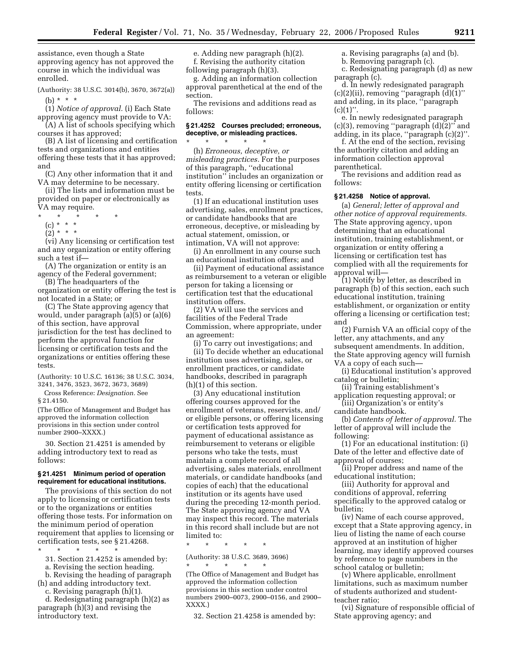assistance, even though a State approving agency has not approved the course in which the individual was enrolled.

(Authority: 38 U.S.C. 3014(b), 3670, 3672(a)) (b) \* \* \*

(1) *Notice of approval.* (i) Each State approving agency must provide to VA:

(A) A list of schools specifying which courses it has approved; (B) A list of licensing and certification tests and organizations and entities

offering these tests that it has approved; and

(C) Any other information that it and VA may determine to be necessary.

(ii) The lists and information must be provided on paper or electronically as VA may require.

- \* \* \* \* \*
	- (c) \* \* \* \*
	- $(2) * * * *$

(vi) Any licensing or certification test and any organization or entity offering such a test if—

(A) The organization or entity is an agency of the Federal government;

(B) The headquarters of the organization or entity offering the test is not located in a State; or

(C) The State approving agency that would, under paragraph (a)(5) or (a)(6) of this section, have approval jurisdiction for the test has declined to perform the approval function for licensing or certification tests and the organizations or entities offering these tests.

(Authority: 10 U.S.C. 16136; 38 U.S.C. 3034, 3241, 3476, 3523, 3672, 3673, 3689)

Cross Reference: *Designation.* See § 21.4150.

(The Office of Management and Budget has approved the information collection provisions in this section under control number 2900–XXXX.)

30. Section 21.4251 is amended by adding introductory text to read as follows:

#### **§ 21.4251 Minimum period of operation requirement for educational institutions.**

The provisions of this section do not apply to licensing or certification tests or to the organizations or entities offering those tests. For information on the minimum period of operation requirement that applies to licensing or certification tests, see § 21.4268.

- \* \* \* \* \*
	- 31. Section 21.4252 is amended by:

a. Revising the section heading.

b. Revising the heading of paragraph (h) and adding introductory text.

c. Revising paragraph (h)(1).

d. Redesignating paragraph (h)(2) as paragraph (h)(3) and revising the introductory text.

e. Adding new paragraph (h)(2). f. Revising the authority citation following paragraph (h)(3).

g. Adding an information collection approval parenthetical at the end of the section.

The revisions and additions read as follows:

#### **§ 21.4252 Courses precluded; erroneous, deceptive, or misleading practices.**

\* \* \* \* \* (h) *Erroneous, deceptive, or misleading practices.* For the purposes of this paragraph, ''educational institution'' includes an organization or entity offering licensing or certification tests.

(1) If an educational institution uses advertising, sales, enrollment practices, or candidate handbooks that are erroneous, deceptive, or misleading by actual statement, omission, or intimation, VA will not approve:

(i) An enrollment in any course such an educational institution offers; and

(ii) Payment of educational assistance as reimbursement to a veteran or eligible person for taking a licensing or certification test that the educational institution offers.

(2) VA will use the services and facilities of the Federal Trade Commission, where appropriate, under an agreement:

(i) To carry out investigations; and (ii) To decide whether an educational institution uses advertising, sales, or enrollment practices, or candidate handbooks, described in paragraph (h)(1) of this section.

(3) Any educational institution offering courses approved for the enrollment of veterans, reservists, and/ or eligible persons, or offering licensing or certification tests approved for payment of educational assistance as reimbursement to veterans or eligible persons who take the tests, must maintain a complete record of all advertising, sales materials, enrollment materials, or candidate handbooks (and copies of each) that the educational institution or its agents have used during the preceding 12-month period. The State approving agency and VA may inspect this record. The materials in this record shall include but are not limited to:

\* \* \* \* \*

(Authority: 38 U.S.C. 3689, 3696)

\* \* \* \* \*

(The Office of Management and Budget has approved the information collection provisions in this section under control numbers 2900–0073, 2900–0156, and 2900– XXXX.)

32. Section 21.4258 is amended by:

a. Revising paragraphs (a) and (b).

b. Removing paragraph (c). c. Redesignating paragraph (d) as new paragraph (c).

d. In newly redesignated paragraph  $(c)(2)(ii)$ , removing "paragraph  $(d)(1)$ " and adding, in its place, ''paragraph  $(c)(1)$ ".

e. In newly redesignated paragraph  $(c)(3)$ , removing "paragraph  $(d)(2)$ " and adding, in its place, ''paragraph (c)(2)''.

f. At the end of the section, revising the authority citation and adding an information collection approval parenthetical.

The revisions and addition read as follows:

#### **§ 21.4258 Notice of approval.**

(a) *General; letter of approval and other notice of approval requirements.*  The State approving agency, upon determining that an educational institution, training establishment, or organization or entity offering a licensing or certification test has complied with all the requirements for approval will—

(1) Notify by letter, as described in paragraph (b) of this section, each such educational institution, training establishment, or organization or entity offering a licensing or certification test; and

(2) Furnish VA an official copy of the letter, any attachments, and any subsequent amendments. In addition, the State approving agency will furnish VA a copy of each such—

(i) Educational institution's approved catalog or bulletin;

(ii) Training establishment's application requesting approval; or

(iii) Organization's or entity's candidate handbook.

(b) *Contents of letter of approval.* The letter of approval will include the following:

(1) For an educational institution: (i) Date of the letter and effective date of approval of courses;

(ii) Proper address and name of the educational institution;

(iii) Authority for approval and conditions of approval, referring specifically to the approved catalog or bulletin;

(iv) Name of each course approved, except that a State approving agency, in lieu of listing the name of each course approved at an institution of higher learning, may identify approved courses by reference to page numbers in the school catalog or bulletin;

(v) Where applicable, enrollment limitations, such as maximum number of students authorized and studentteacher ratio;

(vi) Signature of responsible official of State approving agency; and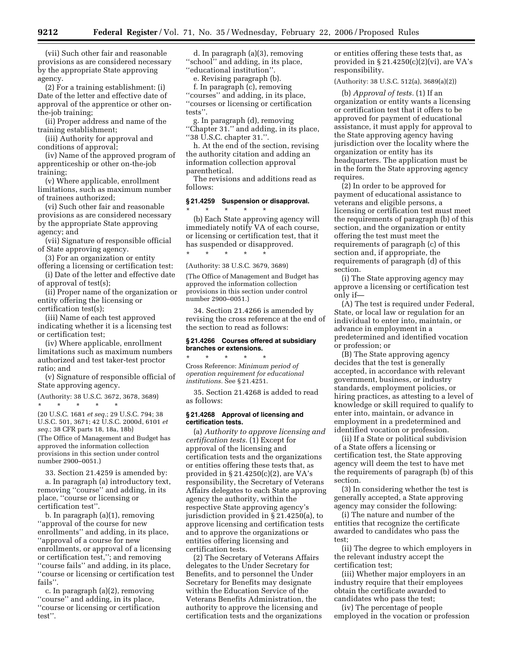(vii) Such other fair and reasonable provisions as are considered necessary by the appropriate State approving agency.

(2) For a training establishment: (i) Date of the letter and effective date of approval of the apprentice or other onthe-job training;

(ii) Proper address and name of the training establishment;

(iii) Authority for approval and conditions of approval;

(iv) Name of the approved program of apprenticeship or other on-the-job training;

(v) Where applicable, enrollment limitations, such as maximum number of trainees authorized;

(vi) Such other fair and reasonable provisions as are considered necessary by the appropriate State approving agency; and

(vii) Signature of responsible official of State approving agency.

(3) For an organization or entity

offering a licensing or certification test: (i) Date of the letter and effective date

of approval of test(s); (ii) Proper name of the organization or

entity offering the licensing or certification test(s);

(iii) Name of each test approved indicating whether it is a licensing test or certification test;

(iv) Where applicable, enrollment limitations such as maximum numbers authorized and test taker-test proctor ratio; and

(v) Signature of responsible official of State approving agency.

(Authority: 38 U.S.C. 3672, 3678, 3689)

\* \* \* \* \* (20 U.S.C. 1681 *et seq.*; 29 U.S.C. 794; 38 U.S.C. 501, 3671; 42 U.S.C. 2000d, 6101 *et seq.*; 38 CFR parts 18, 18a, 18b) (The Office of Management and Budget has approved the information collection provisions in this section under control

33. Section 21.4259 is amended by: a. In paragraph (a) introductory text, removing ''course'' and adding, in its place, ''course or licensing or certification test''.

number 2900–0051.)

b. In paragraph (a)(1), removing ''approval of the course for new enrollments'' and adding, in its place, ''approval of a course for new enrollments, or approval of a licensing or certification test,''; and removing ''course fails'' and adding, in its place, ''course or licensing or certification test fails''.

c. In paragraph (a)(2), removing ''course'' and adding, in its place, ''course or licensing or certification test''.

d. In paragraph (a)(3), removing ''school'' and adding, in its place, ''educational institution''.

e. Revising paragraph (b).

f. In paragraph (c), removing ''courses'' and adding, in its place, ''courses or licensing or certification tests''.

g. In paragraph (d), removing ''Chapter 31.'' and adding, in its place, ''38 U.S.C. chapter 31.''.

h. At the end of the section, revising the authority citation and adding an information collection approval parenthetical.

The revisions and additions read as follows:

# **§ 21.4259 Suspension or disapproval.**

\* \* \* \* \* (b) Each State approving agency will immediately notify VA of each course, or licensing or certification test, that it has suspended or disapproved. \* \* \* \* \*

(Authority: 38 U.S.C. 3679, 3689)

(The Office of Management and Budget has approved the information collection provisions in this section under control number 2900–0051.)

34. Section 21.4266 is amended by revising the cross reference at the end of the section to read as follows:

# **§ 21.4266 Courses offered at subsidiary branches or extensions.**

\* \* \* \* \* Cross Reference: *Minimum period of operation requirement for educational institutions.* See § 21.4251.

35. Section 21.4268 is added to read as follows:

#### **§ 21.4268 Approval of licensing and certification tests.**

(a) *Authority to approve licensing and certification tests.* (1) Except for approval of the licensing and certification tests and the organizations or entities offering these tests that, as provided in § 21.4250(c)(2), are VA's responsibility, the Secretary of Veterans Affairs delegates to each State approving agency the authority, within the respective State approving agency's jurisdiction provided in § 21.4250(a), to approve licensing and certification tests and to approve the organizations or entities offering licensing and certification tests.

(2) The Secretary of Veterans Affairs delegates to the Under Secretary for Benefits, and to personnel the Under Secretary for Benefits may designate within the Education Service of the Veterans Benefits Administration, the authority to approve the licensing and certification tests and the organizations or entities offering these tests that, as provided in  $\S 21.4250(c)(2)(vi)$ , are VA's responsibility.

(Authority: 38 U.S.C. 512(a), 3689(a)(2))

(b) *Approval of tests.* (1) If an organization or entity wants a licensing or certification test that it offers to be approved for payment of educational assistance, it must apply for approval to the State approving agency having jurisdiction over the locality where the organization or entity has its headquarters. The application must be in the form the State approving agency requires.

(2) In order to be approved for payment of educational assistance to veterans and eligible persons, a licensing or certification test must meet the requirements of paragraph (b) of this section, and the organization or entity offering the test must meet the requirements of paragraph (c) of this section and, if appropriate, the requirements of paragraph (d) of this section.

(i) The State approving agency may approve a licensing or certification test only if—

(A) The test is required under Federal, State, or local law or regulation for an individual to enter into, maintain, or advance in employment in a predetermined and identified vocation or profession; or

(B) The State approving agency decides that the test is generally accepted, in accordance with relevant government, business, or industry standards, employment policies, or hiring practices, as attesting to a level of knowledge or skill required to qualify to enter into, maintain, or advance in employment in a predetermined and identified vocation or profession.

(ii) If a State or political subdivision of a State offers a licensing or certification test, the State approving agency will deem the test to have met the requirements of paragraph (b) of this section.

(3) In considering whether the test is generally accepted, a State approving agency may consider the following:

(i) The nature and number of the entities that recognize the certificate awarded to candidates who pass the test;

(ii) The degree to which employers in the relevant industry accept the certification test;

(iii) Whether major employers in an industry require that their employees obtain the certificate awarded to candidates who pass the test;

(iv) The percentage of people employed in the vocation or profession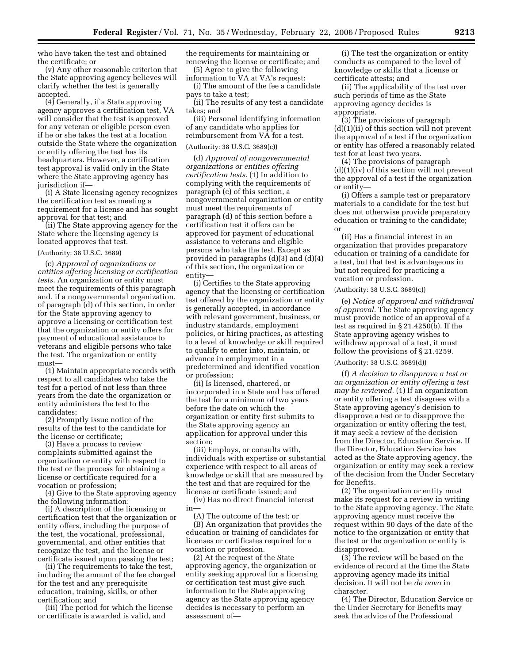who have taken the test and obtained the certificate; or

(v) Any other reasonable criterion that the State approving agency believes will clarify whether the test is generally accepted.

(4) Generally, if a State approving agency approves a certification test, VA will consider that the test is approved for any veteran or eligible person even if he or she takes the test at a location outside the State where the organization or entity offering the test has its headquarters. However, a certification test approval is valid only in the State where the State approving agency has jurisdiction if—

(i) A State licensing agency recognizes the certification test as meeting a requirement for a license and has sought approval for that test; and

(ii) The State approving agency for the State where the licensing agency is located approves that test.

#### (Authority: 38 U.S.C. 3689)

(c) *Approval of organizations or entities offering licensing or certification tests.* An organization or entity must meet the requirements of this paragraph and, if a nongovernmental organization, of paragraph (d) of this section, in order for the State approving agency to approve a licensing or certification test that the organization or entity offers for payment of educational assistance to veterans and eligible persons who take the test. The organization or entity must—

(1) Maintain appropriate records with respect to all candidates who take the test for a period of not less than three years from the date the organization or entity administers the test to the candidates;

(2) Promptly issue notice of the results of the test to the candidate for the license or certificate;

(3) Have a process to review complaints submitted against the organization or entity with respect to the test or the process for obtaining a license or certificate required for a vocation or profession;

(4) Give to the State approving agency the following information:

(i) A description of the licensing or certification test that the organization or entity offers, including the purpose of the test, the vocational, professional, governmental, and other entities that recognize the test, and the license or certificate issued upon passing the test;

(ii) The requirements to take the test, including the amount of the fee charged for the test and any prerequisite education, training, skills, or other certification; and

(iii) The period for which the license or certificate is awarded is valid, and

the requirements for maintaining or renewing the license or certificate; and

(5) Agree to give the following information to VA at VA's request:

(i) The amount of the fee a candidate pays to take a test;

(ii) The results of any test a candidate takes; and

(iii) Personal identifying information of any candidate who applies for reimbursement from VA for a test.

#### (Authority: 38 U.S.C. 3689(c))

(d) *Approval of nongovernmental organizations or entities offering certification tests.* (1) In addition to complying with the requirements of paragraph (c) of this section, a nongovernmental organization or entity must meet the requirements of paragraph (d) of this section before a certification test it offers can be approved for payment of educational assistance to veterans and eligible persons who take the test. Except as provided in paragraphs (d)(3) and (d)(4) of this section, the organization or entity—

(i) Certifies to the State approving agency that the licensing or certification test offered by the organization or entity is generally accepted, in accordance with relevant government, business, or industry standards, employment policies, or hiring practices, as attesting to a level of knowledge or skill required to qualify to enter into, maintain, or advance in employment in a predetermined and identified vocation or profession;

(ii) Is licensed, chartered, or incorporated in a State and has offered the test for a minimum of two years before the date on which the organization or entity first submits to the State approving agency an application for approval under this section;

(iii) Employs, or consults with, individuals with expertise or substantial experience with respect to all areas of knowledge or skill that are measured by the test and that are required for the license or certificate issued; and

(iv) Has no direct financial interest in—

(A) The outcome of the test; or (B) An organization that provides the education or training of candidates for licenses or certificates required for a vocation or profession.

(2) At the request of the State approving agency, the organization or entity seeking approval for a licensing or certification test must give such information to the State approving agency as the State approving agency decides is necessary to perform an assessment of—

(i) The test the organization or entity conducts as compared to the level of knowledge or skills that a license or certificate attests; and

(ii) The applicability of the test over such periods of time as the State approving agency decides is appropriate.

(3) The provisions of paragraph (d)(1)(ii) of this section will not prevent the approval of a test if the organization or entity has offered a reasonably related test for at least two years.

(4) The provisions of paragraph  $(d)(1)(iv)$  of this section will not prevent the approval of a test if the organization or entity—

(i) Offers a sample test or preparatory materials to a candidate for the test but does not otherwise provide preparatory education or training to the candidate; or

(ii) Has a financial interest in an organization that provides preparatory education or training of a candidate for a test, but that test is advantageous in but not required for practicing a vocation or profession.

(Authority: 38 U.S.C. 3689(c))

(e) *Notice of approval and withdrawal of approval.* The State approving agency must provide notice of an approval of a test as required in § 21.4250(b). If the State approving agency wishes to withdraw approval of a test, it must follow the provisions of § 21.4259.

# (Authority: 38 U.S.C. 3689(d))

(f) *A decision to disapprove a test or an organization or entity offering a test may be reviewed.* (1) If an organization or entity offering a test disagrees with a State approving agency's decision to disapprove a test or to disapprove the organization or entity offering the test, it may seek a review of the decision from the Director, Education Service. If the Director, Education Service has acted as the State approving agency, the organization or entity may seek a review of the decision from the Under Secretary for Benefits.

(2) The organization or entity must make its request for a review in writing to the State approving agency. The State approving agency must receive the request within 90 days of the date of the notice to the organization or entity that the test or the organization or entity is disapproved.

(3) The review will be based on the evidence of record at the time the State approving agency made its initial decision. It will not be *de novo* in character.

(4) The Director, Education Service or the Under Secretary for Benefits may seek the advice of the Professional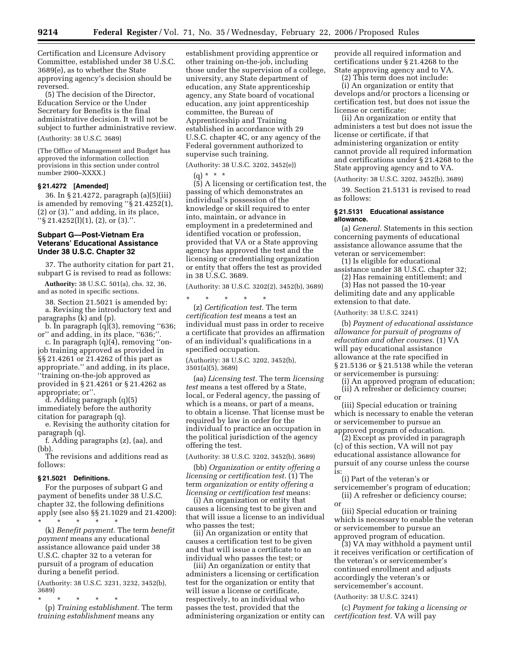Certification and Licensure Advisory Committee, established under 38 U.S.C. 3689(e), as to whether the State approving agency's decision should be reversed.

(5) The decision of the Director, Education Service or the Under Secretary for Benefits is the final administrative decision. It will not be subject to further administrative review.

(Authority: 38 U.S.C. 3689)

(The Office of Management and Budget has approved the information collection provisions in this section under control number 2900–XXXX.)

#### **§ 21.4272 [Amended]**

36. In § 21.4272, paragraph (a)(5)(iii) is amended by removing " $\S$  21.4252(1), (2) or (3).'' and adding, in its place, ''§ 21.4252(l)(1), (2), or (3).''.

#### **Subpart G—Post-Vietnam Era Veterans' Educational Assistance Under 38 U.S.C. Chapter 32**

37. The authority citation for part 21, subpart G is revised to read as follows:

**Authority:** 38 U.S.C. 501(a), chs. 32, 36, and as noted in specific sections.

38. Section 21.5021 is amended by: a. Revising the introductory text and paragraphs (k) and (p).

b. In paragraph  $(q)(3)$ , removing "636; or'' and adding, in its place, ''636;''.

c. In paragraph (q)(4), removing ''onjob training approved as provided in §§ 21.4261 or 21.4262 of this part as appropriate.'' and adding, in its place, ''training on-the-job approved as provided in § 21.4261 or § 21.4262 as appropriate; or''.

d. Adding paragraph (q)(5) immediately before the authority

citation for paragraph (q).

e. Revising the authority citation for paragraph (q).

f. Adding paragraphs (z), (aa), and (bb).

The revisions and additions read as follows:

#### **§ 21.5021 Definitions.**

For the purposes of subpart G and payment of benefits under 38 U.S.C. chapter 32, the following definitions apply (see also §§ 21.1029 and 21.4200): \* \* \* \* \*

(k) *Benefit payment.* The term *benefit payment* means any educational assistance allowance paid under 38 U.S.C. chapter 32 to a veteran for pursuit of a program of education during a benefit period.

(Authority: 38 U.S.C. 3231, 3232, 3452(b), 3689)

\* \* \* \* \* (p) *Training establishment.* The term *training establishment* means any

establishment providing apprentice or other training on-the-job, including those under the supervision of a college, university, any State department of education, any State apprenticeship agency, any State board of vocational education, any joint apprenticeship committee, the Bureau of Apprenticeship and Training established in accordance with 29 U.S.C. chapter 4C, or any agency of the Federal government authorized to supervise such training.

(Authority: 38 U.S.C. 3202, 3452(e))

 $(q) * * * *$ 

(5) A licensing or certification test, the passing of which demonstrates an individual's possession of the knowledge or skill required to enter into, maintain, or advance in employment in a predetermined and identified vocation or profession, provided that VA or a State approving agency has approved the test and the licensing or credentialing organization or entity that offers the test as provided in 38 U.S.C. 3689.

(Authority: 38 U.S.C. 3202(2), 3452(b), 3689)

\* \* \* \* \* (z) *Certification test.* The term *certification test* means a test an individual must pass in order to receive a certificate that provides an affirmation of an individual's qualifications in a specified occupation.

(Authority: 38 U.S.C. 3202, 3452(b), 3501(a)(5), 3689)

(aa) *Licensing test.* The term *licensing test* means a test offered by a State, local, or Federal agency, the passing of which is a means, or part of a means, to obtain a license. That license must be required by law in order for the individual to practice an occupation in the political jurisdiction of the agency offering the test.

(Authority: 38 U.S.C. 3202, 3452(b), 3689)

(bb) *Organization or entity offering a licensing or certification test.* (1) The term *organization or entity offering a licensing or certification test* means:

(i) An organization or entity that causes a licensing test to be given and that will issue a license to an individual who passes the test;

(ii) An organization or entity that causes a certification test to be given and that will issue a certificate to an individual who passes the test; or

(iii) An organization or entity that administers a licensing or certification test for the organization or entity that will issue a license or certificate, respectively, to an individual who passes the test, provided that the administering organization or entity can

provide all required information and certifications under § 21.4268 to the State approving agency and to VA.

(2) This term does not include:

(i) An organization or entity that develops and/or proctors a licensing or certification test, but does not issue the license or certificate;

(ii) An organization or entity that administers a test but does not issue the license or certificate, if that administering organization or entity cannot provide all required information and certifications under § 21.4268 to the State approving agency and to VA.

(Authority: 38 U.S.C. 3202, 3452(b), 3689)

39. Section 21.5131 is revised to read as follows:

#### **§ 21.5131 Educational assistance allowance.**

(a) *General.* Statements in this section concerning payments of educational assistance allowance assume that the veteran or servicemember:

(1) Is eligible for educational assistance under 38 U.S.C. chapter 32;

(2) Has remaining entitlement; and

(3) Has not passed the 10-year delimiting date and any applicable extension to that date.

(Authority: 38 U.S.C. 3241)

or

or

(b) *Payment of educational assistance allowance for pursuit of programs of education and other courses.* (1) VA will pay educational assistance allowance at the rate specified in § 21.5136 or § 21.5138 while the veteran or servicemember is pursuing:

(i) An approved program of education; (ii) A refresher or deficiency course;

(iii) Special education or training which is necessary to enable the veteran or servicemember to pursue an approved program of education.

(2) Except as provided in paragraph (c) of this section, VA will not pay educational assistance allowance for pursuit of any course unless the course is:

(i) Part of the veteran's or servicemember's program of education; (ii) A refresher or deficiency course;

(iii) Special education or training which is necessary to enable the veteran or servicemember to pursue an approved program of education.

(3) VA may withhold a payment until it receives verification or certification of the veteran's or servicemember's continued enrollment and adjusts accordingly the veteran's or servicemember's account.

#### (Authority: 38 U.S.C. 3241)

(c) *Payment for taking a licensing or certification test.* VA will pay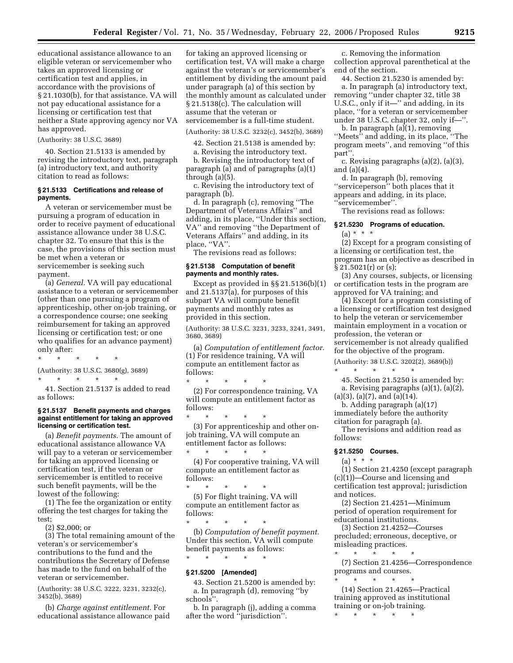educational assistance allowance to an eligible veteran or servicemember who takes an approved licensing or certification test and applies, in accordance with the provisions of § 21.1030(b), for that assistance. VA will not pay educational assistance for a licensing or certification test that neither a State approving agency nor VA has approved.

(Authority: 38 U.S.C. 3689)

40. Section 21.5133 is amended by revising the introductory text, paragraph (a) introductory text, and authority citation to read as follows:

#### **§ 21.5133 Certifications and release of payments.**

A veteran or servicemember must be pursuing a program of education in order to receive payment of educational assistance allowance under 38 U.S.C. chapter 32. To ensure that this is the case, the provisions of this section must be met when a veteran or servicemember is seeking such payment.

(a) *General.* VA will pay educational assistance to a veteran or servicemember (other than one pursuing a program of apprenticeship, other on-job training, or a correspondence course; one seeking reimbursement for taking an approved licensing or certification test; or one who qualifies for an advance payment) only after:

\* \* \* \* \*

(Authority: 38 U.S.C. 3680(g), 3689)

\* \* \* \* \*

41. Section 21.5137 is added to read as follows:

#### **§ 21.5137 Benefit payments and charges against entitlement for taking an approved licensing or certification test.**

(a) *Benefit payments.* The amount of educational assistance allowance VA will pay to a veteran or servicemember for taking an approved licensing or certification test, if the veteran or servicemember is entitled to receive such benefit payments, will be the lowest of the following:

(1) The fee the organization or entity offering the test charges for taking the test;

(2) \$2,000; or

(3) The total remaining amount of the veteran's or servicemember's contributions to the fund and the contributions the Secretary of Defense has made to the fund on behalf of the veteran or servicemember.

(Authority: 38 U.S.C. 3222, 3231, 3232(c), 3452(b), 3689)

(b) *Charge against entitlement.* For educational assistance allowance paid

for taking an approved licensing or certification test, VA will make a charge against the veteran's or servicemember's entitlement by dividing the amount paid under paragraph (a) of this section by the monthly amount as calculated under § 21.5138(c). The calculation will assume that the veteran or servicemember is a full-time student.

(Authority: 38 U.S.C. 3232(c), 3452(b), 3689)

42. Section 21.5138 is amended by:

a. Revising the introductory text.

b. Revising the introductory text of paragraph (a) and of paragraphs (a)(1) through (a)(5).

c. Revising the introductory text of paragraph (b).

d. In paragraph (c), removing ''The Department of Veterans Affairs'' and adding, in its place, ''Under this section, VA'' and removing ''the Department of Veterans Affairs'' and adding, in its place, "VA".

The revisions read as follows:

#### **§ 21.5138 Computation of benefit payments and monthly rates.**

Except as provided in §§ 21.5136(b)(1) and 21.5137(a), for purposes of this subpart VA will compute benefit payments and monthly rates as provided in this section.

(Authority: 38 U.S.C. 3231, 3233, 3241, 3491, 3680, 3689)

(a) *Computation of entitlement factor.*  (1) For residence training, VA will compute an entitlement factor as follows:

\* \* \* \* \* (2) For correspondence training, VA will compute an entitlement factor as follows:

\* \* \* \* \* (3) For apprenticeship and other onjob training, VA will compute an entitlement factor as follows:

\* \* \* \* \* (4) For cooperative training, VA will compute an entitlement factor as follows:

\* \* \* \* \* (5) For flight training, VA will compute an entitlement factor as follows:

\* \* \* \* \* (b) *Computation of benefit payment.*  Under this section, VA will compute benefit payments as follows:

# \* \* \* \* \* **§ 21.5200 [Amended]**

43. Section 21.5200 is amended by: a. In paragraph (d), removing ''by schools''.

b. In paragraph (j), adding a comma after the word ''jurisdiction''.

c. Removing the information collection approval parenthetical at the end of the section.

44. Section 21.5230 is amended by: a. In paragraph (a) introductory text, removing ''under chapter 32, title 38 U.S.C., only if it—'' and adding, in its place, ''for a veteran or servicemember under 38 U.S.C. chapter 32, only if—''.

b. In paragraph  $(a)(1)$ , removing ''Meets'' and adding, in its place, ''The program meets'', and removing ''of this part''.

c. Revising paragraphs (a)(2), (a)(3), and (a)(4).

d. In paragraph (b), removing ''serviceperson'' both places that it appears and adding, in its place,

'servicemember".

The revisions read as follows:

#### **§ 21.5230 Programs of education.**

 $(a) * * * *$ 

(2) Except for a program consisting of a licensing or certification test, the program has an objective as described in § 21.5021(r) or (s);

(3) Any courses, subjects, or licensing or certification tests in the program are approved for VA training; and

(4) Except for a program consisting of a licensing or certification test designed to help the veteran or servicemember maintain employment in a vocation or profession, the veteran or servicemember is not already qualified for the objective of the program.

(Authority: 38 U.S.C. 3202(2), 3689(b)) \* \* \* \* \* 45. Section 21.5250 is amended by:

a. Revising paragraphs (a)(1), (a)(2),  $(a)(3)$ ,  $(a)(7)$ , and  $(a)(14)$ .

b. Adding paragraph (a)(17) immediately before the authority

citation for paragraph (a).

The revisions and addition read as follows:

# **§ 21.5250 Courses.**

(a) \* \* \*

(1) Section 21.4250 (except paragraph (c)(1))—Course and licensing and certification test approval; jurisdiction and notices.

(2) Section 21.4251—Minimum period of operation requirement for educational institutions.

(3) Section 21.4252—Courses precluded; erroneous, deceptive, or misleading practices. \* \* \* \* \*

(7) Section 21.4256—Correspondence programs and courses.

\* \* \* \* \* (14) Section 21.4265—Practical training approved as institutional training or on-job training.

\* \* \* \* \*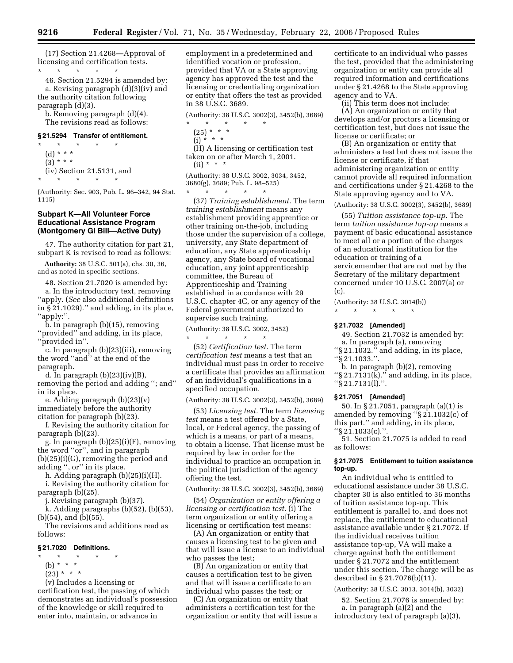(17) Section 21.4268—Approval of licensing and certification tests.

\* \* \* \* \* 46. Section 21.5294 is amended by: a. Revising paragraph (d)(3)(iv) and the authority citation following paragraph (d)(3).

b. Removing paragraph (d)(4). The revisions read as follows:

# **§ 21.5294 Transfer of entitlement.**

\* \* \* \* \* (d) \* \* \*  $(3) * * * *$ (iv) Section 21.5131, and \* \* \* \* \*

(Authority: Sec. 903, Pub. L. 96–342, 94 Stat. 1115)

#### **Subpart K—All Volunteer Force Educational Assistance Program (Montgomery GI Bill—Active Duty)**

47. The authority citation for part 21, subpart K is revised to read as follows:

**Authority:** 38 U.S.C. 501(a), chs. 30, 36, and as noted in specific sections.

48. Section 21.7020 is amended by:

a. In the introductory text, removing ''apply. (*See* also additional definitions in § 21.1029).'' and adding, in its place, ''apply:''.

b. In paragraph (b)(15), removing ''provided'' and adding, in its place,

''provided in''.

c. In paragraph (b)(23)(iii), removing the word ''and'' at the end of the paragraph.

d. In paragraph  $(b)(23)(iv)(B)$ , removing the period and adding ''; and'' in its place.

e. Adding paragraph (b)(23)(v) immediately before the authority citation for paragraph (b)(23).

f. Revising the authority citation for paragraph (b)(23).

g. In paragraph (b)(25)(i)(F), removing the word ''or'', and in paragraph (b)(25)(i)(G), removing the period and adding '', or'' in its place.

h. Adding paragraph (b)(25)(i)(H).

i. Revising the authority citation for paragraph (b)(25).

j. Revising paragraph (b)(37).

k. Adding paragraphs (b)(52), (b)(53), (b)(54), and (b)(55).

The revisions and additions read as follows:

#### **§ 21.7020 Definitions.**

\* \* \* \* \*

- (b) \* \* \*
- $(23) * * * *$

(v) Includes a licensing or

certification test, the passing of which demonstrates an individual's possession of the knowledge or skill required to enter into, maintain, or advance in

employment in a predetermined and identified vocation or profession, provided that VA or a State approving agency has approved the test and the licensing or credentialing organization or entity that offers the test as provided in 38 U.S.C. 3689.

(Authority: 38 U.S.C. 3002(3), 3452(b), 3689)

- $*$  \*
- $(25) * * * *$  $(i) * * * *$
- 

(H) A licensing or certification test taken on or after March 1, 2001.  $(ii)$  \*

- (Authority: 38 U.S.C. 3002, 3034, 3452,  $3680(g)$ ,  $3689$ ; Pub. L. 98–525)<br>\* \* \* \* \* \*
- \* \* \* \* \*

(37) *Training establishment.* The term *training establishment* means any establishment providing apprentice or other training on-the-job, including those under the supervision of a college, university, any State department of education, any State apprenticeship agency, any State board of vocational education, any joint apprenticeship committee, the Bureau of Apprenticeship and Training established in accordance with 29 U.S.C. chapter 4C, or any agency of the Federal government authorized to supervise such training.

(Authority: 38 U.S.C. 3002, 3452)

\* \* \* \* \*

(52) *Certification test.* The term *certification test* means a test that an individual must pass in order to receive a certificate that provides an affirmation of an individual's qualifications in a specified occupation.

(Authority: 38 U.S.C. 3002(3), 3452(b), 3689)

(53) *Licensing test.* The term *licensing test* means a test offered by a State, local, or Federal agency, the passing of which is a means, or part of a means, to obtain a license. That license must be required by law in order for the individual to practice an occupation in the political jurisdiction of the agency offering the test.

(Authority: 38 U.S.C. 3002(3), 3452(b), 3689)

(54) *Organization or entity offering a licensing or certification test.* (i) The term organization or entity offering a licensing or certification test means:

(A) An organization or entity that causes a licensing test to be given and that will issue a license to an individual who passes the test;

(B) An organization or entity that causes a certification test to be given and that will issue a certificate to an individual who passes the test; or

(C) An organization or entity that administers a certification test for the organization or entity that will issue a certificate to an individual who passes the test, provided that the administering organization or entity can provide all required information and certifications under § 21.4268 to the State approving agency and to VA.

(ii) This term does not include: (A) An organization or entity that develops and/or proctors a licensing or certification test, but does not issue the license or certificate; or

(B) An organization or entity that administers a test but does not issue the license or certificate, if that administering organization or entity cannot provide all required information and certifications under § 21.4268 to the State approving agency and to VA.

(Authority: 38 U.S.C. 3002(3), 3452(b), 3689)

(55) *Tuition assistance top-up.* The term *tuition assistance top-up* means a payment of basic educational assistance to meet all or a portion of the charges of an educational institution for the education or training of a servicemember that are not met by the Secretary of the military department concerned under 10 U.S.C. 2007(a) or (c).

(Authority: 38 U.S.C. 3014(b))

#### **§ 21.7032 [Amended]**

\* \* \* \* \*

49. Section 21.7032 is amended by: a. In paragraph (a), removing

''§ 21.1032.'' and adding, in its place, ''§ 21.1033.''.

b. In paragraph (b)(2), removing ''§ 21.7131(k).'' and adding, in its place, ''§ 21.7131(l).''.

#### **§ 21.7051 [Amended]**

50. In § 21.7051, paragraph (a)(1) is amended by removing ''§ 21.1032(c) of this part.'' and adding, in its place, ''§ 21.1033(c).''.

51. Section 21.7075 is added to read as follows:

#### **§ 21.7075 Entitlement to tuition assistance top-up.**

An individual who is entitled to educational assistance under 38 U.S.C. chapter 30 is also entitled to 36 months of tuition assistance top-up. This entitlement is parallel to, and does not replace, the entitlement to educational assistance available under § 21.7072. If the individual receives tuition assistance top-up, VA will make a charge against both the entitlement under § 21.7072 and the entitlement under this section. The charge will be as described in § 21.7076(b)(11).

(Authority: 38 U.S.C. 3013, 3014(b), 3032)

52. Section 21.7076 is amended by: a. In paragraph (a)(2) and the introductory text of paragraph (a)(3),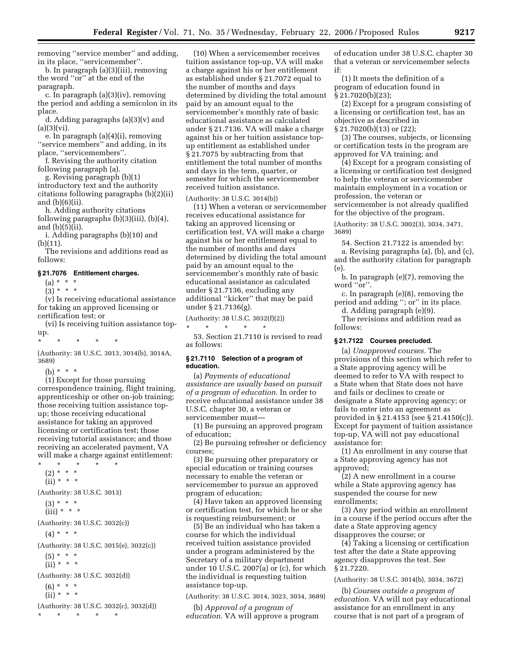removing ''service member'' and adding, in its place, ''servicemember''.

b. In paragraph (a)(3)(iii), removing the word ''or'' at the end of the paragraph.

c. In paragraph (a)(3)(iv), removing the period and adding a semicolon in its place.

d. Adding paragraphs (a)(3)(v) and  $(a)(3)(vi).$ 

e. In paragraph (a)(4)(i), removing ''service members'' and adding, in its place, ''servicemembers''.

f. Revising the authority citation following paragraph (a).

g. Revising paragraph (b)(1) introductory text and the authority citations following paragraphs (b)(2)(ii) and (b)(6)(ii).

h. Adding authority citations following paragraphs  $(b)(3)(iii)$ ,  $(b)(4)$ , and (b)(5)(ii).

i. Adding paragraphs (b)(10) and (b)(11).

The revisions and additions read as follows:

#### **§ 21.7076 Entitlement charges.**

(a) \* \* \*  $(3) * * * *$ 

(v) Is receiving educational assistance for taking an approved licensing or certification test; or

(vi) Is receiving tuition assistance topup.

```
* * * * *
```
(Authority: 38 U.S.C. 3013, 3014(b), 3014A, 3689)

(b)  $* * * *$ 

(1) Except for those pursuing correspondence training, flight training, apprenticeship or other on-job training; those receiving tuition assistance topup; those receiving educational assistance for taking an approved licensing or certification test; those receiving tutorial assistance; and those receiving an accelerated payment, VA will make a charge against entitlement:

\* \* \* \* \* (2) \* \* \*  $(ii)$  \* \* \* (Authority: 38 U.S.C. 3013)

 $(3) * * * *$  $(iii) * * * *$ 

(Authority: 38 U.S.C. 3032(c))

 $(4) * * * *$ 

(Authority: 38 U.S.C. 3015(e), 3032(c))

```
(5) * * *
```
(ii) \* \* \*

(Authority: 38 U.S.C. 3032(d))

 $(6) * * * *$  $(ii) * * * *$ 

(Authority: 38 U.S.C. 3032(c), 3032(d)) \* \* \* \* \*

(10) When a servicemember receives tuition assistance top-up, VA will make a charge against his or her entitlement as established under § 21.7072 equal to the number of months and days determined by dividing the total amount paid by an amount equal to the servicemember's monthly rate of basic educational assistance as calculated under § 21.7136. VA will make a charge against his or her tuition assistance topup entitlement as established under § 21.7075 by subtracting from that entitlement the total number of months and days in the term, quarter, or semester for which the servicemember received tuition assistance.

(Authority: 38 U.S.C. 3014(b))

(11) When a veteran or servicemember receives educational assistance for taking an approved licensing or certification test, VA will make a charge against his or her entitlement equal to the number of months and days determined by dividing the total amount paid by an amount equal to the servicemember's monthly rate of basic educational assistance as calculated under § 21.7136, excluding any additional ''kicker'' that may be paid under § 21.7136(g).

(Authority: 38 U.S.C. 3032(f)(2)) \* \* \* \* \*

53. Section 21.7110 is revised to read as follows:

#### **§ 21.7110 Selection of a program of education.**

(a) *Payments of educational assistance are usually based on pursuit of a program of education.* In order to receive educational assistance under 38 U.S.C. chapter 30, a veteran or servicemember must—

(1) Be pursuing an approved program of education;

(2) Be pursuing refresher or deficiency courses;

(3) Be pursuing other preparatory or special education or training courses necessary to enable the veteran or servicemember to pursue an approved program of education;

(4) Have taken an approved licensing or certification test, for which he or she is requesting reimbursement; or

(5) Be an individual who has taken a course for which the individual received tuition assistance provided under a program administered by the Secretary of a military department under 10 U.S.C. 2007(a) or (c), for which the individual is requesting tuition assistance top-up.

(Authority: 38 U.S.C. 3014, 3023, 3034, 3689)

(b) *Approval of a program of education.* VA will approve a program

of education under 38 U.S.C. chapter 30 that a veteran or servicemember selects if:

(1) It meets the definition of a program of education found in  $\S 21.7020(b)(23);$ 

(2) Except for a program consisting of a licensing or certification test, has an objective as described in § 21.7020(b)(13) or (22);

(3) The courses, subjects, or licensing or certification tests in the program are approved for VA training; and

(4) Except for a program consisting of a licensing or certification test designed to help the veteran or servicemember maintain employment in a vocation or profession, the veteran or servicemember is not already qualified for the objective of the program.

(Authority: 38 U.S.C. 3002(3), 3034, 3471, 3689)

54. Section 21.7122 is amended by:

a. Revising paragraphs (a), (b), and (c), and the authority citation for paragraph (e).

b. In paragraph (e)(7), removing the word "or".

c. In paragraph (e)(8), removing the period and adding ''; or'' in its place.

d. Adding paragraph (e)(9).

The revisions and addition read as follows:

# **§ 21.7122 Courses precluded.**

(a) *Unapproved courses.* The provisions of this section which refer to a State approving agency will be deemed to refer to VA with respect to a State when that State does not have and fails or declines to create or designate a State approving agency; or fails to enter into an agreement as provided in § 21.4153 (see § 21.4150(c)). Except for payment of tuition assistance top-up, VA will not pay educational assistance for:

(1) An enrollment in any course that a State approving agency has not approved;

(2) A new enrollment in a course while a State approving agency has suspended the course for new enrollments;

(3) Any period within an enrollment in a course if the period occurs after the date a State approving agency disapproves the course; or

(4) Taking a licensing or certification test after the date a State approving agency disapproves the test. See § 21.7220.

# (Authority: 38 U.S.C. 3014(b), 3034, 3672)

(b) *Courses outside a program of education.* VA will not pay educational assistance for an enrollment in any course that is not part of a program of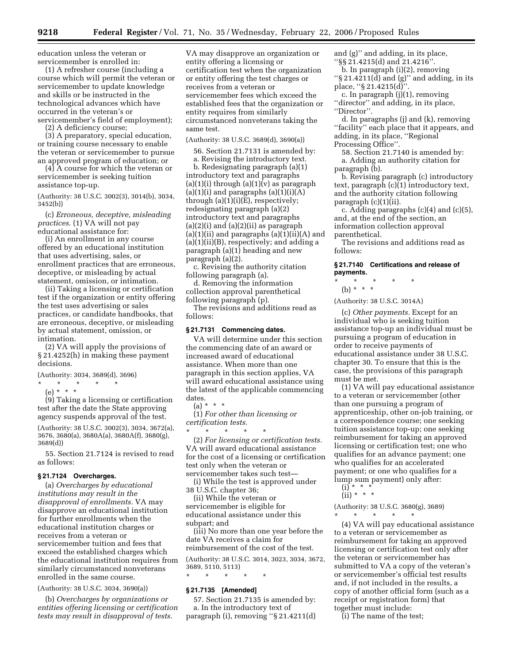education unless the veteran or servicemember is enrolled in:

(1) A refresher course (including a course which will permit the veteran or servicemember to update knowledge and skills or be instructed in the technological advances which have occurred in the veteran's or servicemember's field of employment);

(2) A deficiency course;

(3) A preparatory, special education, or training course necessary to enable the veteran or servicemember to pursue an approved program of education; or

(4) A course for which the veteran or servicemember is seeking tuition assistance top-up.

(Authority: 38 U.S.C. 3002(3), 3014(b), 3034, 3452(b))

(c) *Erroneous, deceptive, misleading practices.* (1) VA will not pay educational assistance for:

(i) An enrollment in any course offered by an educational institution that uses advertising, sales, or enrollment practices that are erroneous, deceptive, or misleading by actual statement, omission, or intimation.

(ii) Taking a licensing or certification test if the organization or entity offering the test uses advertising or sales practices, or candidate handbooks, that are erroneous, deceptive, or misleading by actual statement, omission, or intimation.

(2) VA will apply the provisions of § 21.4252(h) in making these payment decisions.

(Authority: 3034, 3689(d), 3696)

\* \* \* \* \*

(e) \* \* \* (9) Taking a licensing or certification test after the date the State approving agency suspends approval of the test.

(Authority: 38 U.S.C. 3002(3), 3034, 3672(a), 3676, 3680(a), 3680A(a), 3680A(f), 3680(g), 3689(d))

55. Section 21.7124 is revised to read as follows:

#### **§ 21.7124 Overcharges.**

(a) *Overcharges by educational institutions may result in the disapproval of enrollments.* VA may disapprove an educational institution for further enrollments when the educational institution charges or receives from a veteran or servicemember tuition and fees that exceed the established charges which the educational institution requires from similarly circumstanced nonveterans enrolled in the same course.

(Authority: 38 U.S.C. 3034, 3690(a))

(b) *Overcharges by organizations or entities offering licensing or certification tests may result in disapproval of tests.* 

VA may disapprove an organization or entity offering a licensing or certification test when the organization or entity offering the test charges or receives from a veteran or servicemember fees which exceed the established fees that the organization or entity requires from similarly circumstanced nonveterans taking the same test.

(Authority: 38 U.S.C. 3689(d), 3690(a))

56. Section 21.7131 is amended by: a. Revising the introductory text.

b. Redesignating paragraph (a)(1) introductory text and paragraphs (a)(1)(i) through (a)(1)(v) as paragraph  $(a)(1)(i)$  and paragraphs  $(a)(1)(i)(A)$ through  $(a)(1)(i)(E)$ , respectively; redesignating paragraph (a)(2) introductory text and paragraphs  $(a)(2)(i)$  and  $(a)(2)(ii)$  as paragraph (a)(1)(ii) and paragraphs  $(a)(1)(ii)(A)$  and  $(a)(1)(ii)(B)$ , respectively; and adding a paragraph (a)(1) heading and new paragraph (a)(2).

c. Revising the authority citation following paragraph (a).

d. Removing the information collection approval parenthetical following paragraph (p).

The revisions and additions read as follows:

#### **§ 21.7131 Commencing dates.**

VA will determine under this section the commencing date of an award or increased award of educational assistance. When more than one paragraph in this section applies, VA will award educational assistance using the latest of the applicable commencing dates.

(a) \* \* \*

 $*$  \*

(1) *For other than licensing or certification tests.* 

(2) *For licensing or certification tests.*  VA will award educational assistance for the cost of a licensing or certification test only when the veteran or servicemember takes such test—

(i) While the test is approved under 38 U.S.C. chapter 36;

(ii) While the veteran or servicemember is eligible for educational assistance under this subpart; and

(iii) No more than one year before the date VA receives a claim for reimbursement of the cost of the test.

(Authority: 38 U.S.C. 3014, 3023, 3034, 3672, 3689, 5110, 5113)

\* \* \* \* \*

# **§ 21.7135 [Amended]**

57. Section 21.7135 is amended by: a. In the introductory text of paragraph (i), removing ''§ 21.4211(d) and (g)'' and adding, in its place, ''§§ 21.4215(d) and 21.4216''.

b. In paragraph (i)(2), removing ''§ 21.4211(d) and (g)'' and adding, in its

place, ''§ 21.4215(d)''.

c. In paragraph (j)(1), removing ''director'' and adding, in its place, ''Director''.

d. In paragraphs (j) and (k), removing ''facility'' each place that it appears, and adding, in its place, ''Regional Processing Office''.

58. Section 21.7140 is amended by: a. Adding an authority citation for paragraph (b).

b. Revising paragraph (c) introductory text, paragraph (c)(1) introductory text, and the authority citation following paragraph (c)(1)(ii).

c. Adding paragraphs (c)(4) and (c)(5), and, at the end of the section, an information collection approval parenthetical.

The revisions and additions read as follows:

**§ 21.7140 Certifications and release of payments.** 

\* \* \* \* \* (b) \* \* \*

(Authority: 38 U.S.C. 3014A)

(c) *Other payments.* Except for an individual who is seeking tuition assistance top-up an individual must be pursuing a program of education in order to receive payments of educational assistance under 38 U.S.C. chapter 30. To ensure that this is the case, the provisions of this paragraph must be met.

(1) VA will pay educational assistance to a veteran or servicemember (other than one pursuing a program of apprenticeship, other on-job training, or a correspondence course; one seeking tuition assistance top-up; one seeking reimbursement for taking an approved licensing or certification test; one who qualifies for an advance payment; one who qualifies for an accelerated payment; or one who qualifies for a lump sum payment) only after:

 $(i) * * * *$  $(ii) * * * *$ 

(Authority: 38 U.S.C. 3680(g), 3689) \* \* \* \* \*

(4) VA will pay educational assistance to a veteran or servicemember as reimbursement for taking an approved licensing or certification test only after the veteran or servicemember has submitted to VA a copy of the veteran's or servicemember's official test results and, if not included in the results, a copy of another official form (such as a receipt or registration form) that together must include:

(i) The name of the test;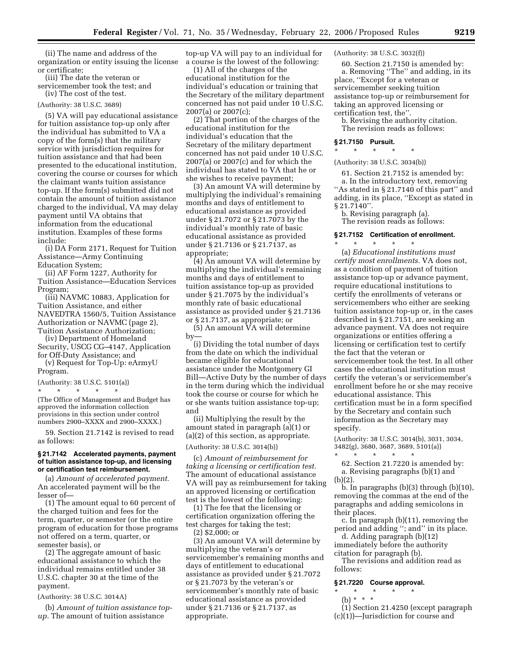(ii) The name and address of the organization or entity issuing the license or certificate;

(iii) The date the veteran or servicemember took the test; and (iv) The cost of the test.

#### (Authority: 38 U.S.C. 3689)

(5) VA will pay educational assistance for tuition assistance top-up only after the individual has submitted to VA a copy of the form(s) that the military service with jurisdiction requires for tuition assistance and that had been presented to the educational institution, covering the course or courses for which the claimant wants tuition assistance top-up. If the form(s) submitted did not contain the amount of tuition assistance charged to the individual, VA may delay payment until VA obtains that information from the educational institution. Examples of these forms include:

(i) DA Form 2171, Request for Tuition Assistance—Army Continuing Education System;

(ii) AF Form 1227, Authority for Tuition Assistance—Education Services Program;

(iii) NAVMC 10883, Application for Tuition Assistance, and either NAVEDTRA 1560/5, Tuition Assistance Authorization or NAVMC (page 2), Tuition Assistance Authorization;

(iv) Department of Homeland Security, USCG CG–4147, Application for Off-Duty Assistance; and

(v) Request for Top-Up: eArmyU Program.

#### (Authority: 38 U.S.C. 5101(a))

\* \* \* \* \* (The Office of Management and Budget has approved the information collection provisions in this section under control numbers 2900–XXXX and 2900–XXXX.)

59. Section 21.7142 is revised to read as follows:

#### **§ 21.7142 Accelerated payments, payment of tuition assistance top-up, and licensing or certification test reimbursement.**

(a) *Amount of accelerated payment.*  An accelerated payment will be the lesser of—

(1) The amount equal to 60 percent of the charged tuition and fees for the term, quarter, or semester (or the entire program of education for those programs not offered on a term, quarter, or semester basis), or

(2) The aggregate amount of basic educational assistance to which the individual remains entitled under 38 U.S.C. chapter 30 at the time of the payment.

(Authority: 38 U.S.C. 3014A)

(b) *Amount of tuition assistance topup.* The amount of tuition assistance

top-up VA will pay to an individual for a course is the lowest of the following:

(1) All of the charges of the educational institution for the individual's education or training that the Secretary of the military department concerned has not paid under 10 U.S.C. 2007(a) or 2007(c);

(2) That portion of the charges of the educational institution for the individual's education that the Secretary of the military department concerned has not paid under 10 U.S.C. 2007(a) or 2007(c) and for which the individual has stated to VA that he or she wishes to receive payment;

(3) An amount VA will determine by multiplying the individual's remaining months and days of entitlement to educational assistance as provided under § 21.7072 or § 21.7073 by the individual's monthly rate of basic educational assistance as provided under § 21.7136 or § 21.7137, as appropriate;

(4) An amount VA will determine by multiplying the individual's remaining months and days of entitlement to tuition assistance top-up as provided under § 21.7075 by the individual's monthly rate of basic educational assistance as provided under § 21.7136 or § 21.7137, as appropriate; or

(5) An amount VA will determine by—

(i) Dividing the total number of days from the date on which the individual became eligible for educational assistance under the Montgomery GI Bill—Active Duty by the number of days in the term during which the individual took the course or course for which he or she wants tuition assistance top-up; and

(ii) Multiplying the result by the amount stated in paragraph (a)(1) or (a)(2) of this section, as appropriate. (Authority: 38 U.S.C. 3014(b))

(c) *Amount of reimbursement for taking a licensing or certification test.*  The amount of educational assistance VA will pay as reimbursement for taking an approved licensing or certification test is the lowest of the following:

(1) The fee that the licensing or certification organization offering the test charges for taking the test; (2) \$2,000; or

(3) An amount VA will determine by multiplying the veteran's or servicemember's remaining months and days of entitlement to educational assistance as provided under § 21.7072 or § 21.7073 by the veteran's or servicemember's monthly rate of basic educational assistance as provided under § 21.7136 or § 21.7137, as appropriate.

(Authority: 38 U.S.C. 3032(f))

60. Section 21.7150 is amended by: a. Removing ''The'' and adding, in its place, ''Except for a veteran or servicemember seeking tuition assistance top-up or reimbursement for taking an approved licensing or certification test, the''.

b. Revising the authority citation. The revision reads as follows:

# **§ 21.7150 Pursuit.**

# \* \* \* \* \* (Authority: 38 U.S.C. 3034(b))

61. Section 21.7152 is amended by: a. In the introductory text, removing "As stated in § 21.7140 of this part" and adding, in its place, ''Except as stated in § 21.7140".

b. Revising paragraph (a). The revision reads as follows:

#### **§ 21.7152 Certification of enrollment.**

\* \* \* \* \* (a) *Educational institutions must certify most enrollments.* VA does not, as a condition of payment of tuition assistance top-up or advance payment, require educational institutions to certify the enrollments of veterans or servicemembers who either are seeking tuition assistance top-up or, in the cases described in § 21.7151, are seeking an advance payment. VA does not require organizations or entities offering a licensing or certification test to certify the fact that the veteran or servicemember took the test. In all other cases the educational institution must certify the veteran's or servicemember's enrollment before he or she may receive educational assistance. This certification must be in a form specified by the Secretary and contain such information as the Secretary may specify.

(Authority: 38 U.S.C. 3014(b), 3031, 3034, 3482(g), 3680, 3687, 3689, 5101(a)) \* \* \* \* \*

62. Section 21.7220 is amended by: a. Revising paragraphs (b)(1) and (b)(2).

b. In paragraphs (b)(3) through (b)(10), removing the commas at the end of the paragraphs and adding semicolons in their places.

c. In paragraph (b)(11), removing the period and adding ''; and'' in its place.

d. Adding paragraph (b)(12) immediately before the authority citation for paragraph (b).

The revisions and addition read as follows:

#### **§ 21.7220 Course approval.**

# \* \* \* \* \* (b) \* \* \*

- (1) Section 21.4250 (except paragraph
- (c)(1))—Jurisdiction for course and